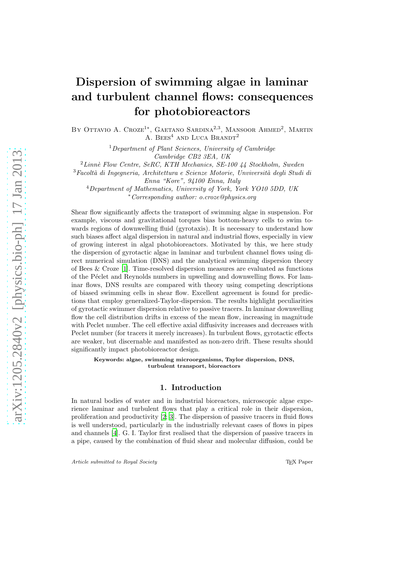# Dispersion of swimming algae in laminar and turbulent channel flows: consequences for photobioreactors

BY OTTAVIO A. CROZE<sup>1\*</sup>, GAETANO SARDINA<sup>2,3</sup>, MANSOOR AHMED<sup>2</sup>, MARTIN A. BEES<sup>4</sup> AND LUCA BRANDT<sup>2</sup>

> <sup>1</sup>Department of Plant Sciences, University of Cambridge Cambridge CB2 3EA, UK

 $^{2}$ Linnè Flow Centre, SeRC, KTH Mechanics, SE-100 44 Stockholm, Sweden

 $3$ Facoltà di Ingegneria, Architettura e Scienze Motorie, Unviversità degli Studi di Enna "Kore", 94100 Enna, Italy

 $4$ Department of Mathematics, University of York, York YO10 5DD, UK <sup>∗</sup>Corresponding author: o.croze@physics.org

Shear flow significantly affects the transport of swimming algae in suspension. For example, viscous and gravitational torques bias bottom-heavy cells to swim towards regions of downwelling fluid (gyrotaxis). It is necessary to understand how such biases affect algal dispersion in natural and industrial flows, especially in view of growing interest in algal photobioreactors. Motivated by this, we here study the dispersion of gyrotactic algae in laminar and turbulent channel flows using direct numerical simulation (DNS) and the analytical swimming dispersion theory of Bees & Croze [\[1\]](#page-27-0). Time-resolved dispersion measures are evaluated as functions of the P´eclet and Reynolds numbers in upwelling and downwelling flows. For laminar flows, DNS results are compared with theory using competing descriptions of biased swimming cells in shear flow. Excellent agreement is found for predictions that employ generalized-Taylor-dispersion. The results highlight peculiarities of gyrotactic swimmer dispersion relative to passive tracers. In laminar downwelling flow the cell distribution drifts in excess of the mean flow, increasing in magnitude with Peclet number. The cell effective axial diffusivity increases and decreases with Peclet number (for tracers it merely increases). In turbulent flows, gyrotactic effects are weaker, but discernable and manifested as non-zero drift. These results should significantly impact photobioreactor design.

Keywords: algae, swimming microorganisms, Taylor dispersion, DNS, turbulent transport, bioreactors

## 1. Introduction

In natural bodies of water and in industrial bioreactors, microscopic algae experience laminar and turbulent flows that play a critical role in their dispersion, proliferation and productivity [\[2;](#page-27-1) [3\]](#page-27-2). The dispersion of passive tracers in fluid flows is well understood, particularly in the industrially relevant cases of flows in pipes and channels [\[4\]](#page-28-0). G. I. Taylor first realised that the dispersion of passive tracers in a pipe, caused by the combination of fluid shear and molecular diffusion, could be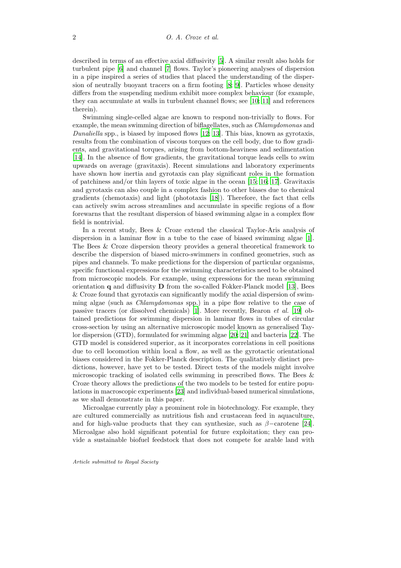described in terms of an effective axial diffusivity [\[5](#page-28-1)]. A similar result also holds for turbulent pipe [\[6\]](#page-28-2) and channel [\[7\]](#page-28-3) flows. Taylor's pioneering analyses of dispersion in a pipe inspired a series of studies that placed the understanding of the dispersion of neutrally buoyant tracers on a firm footing [\[8;](#page-28-4) [9\]](#page-28-5). Particles whose density differs from the suspending medium exhibit more complex behaviour (for example, they can accumulate at walls in turbulent channel flows; see [\[10](#page-28-6); [11\]](#page-28-7) and references therein).

Swimming single-celled algae are known to respond non-trivially to flows. For example, the mean swimming direction of biflagellates, such as Chlamydomonas and Dunaliella spp., is biased by imposed flows [\[12;](#page-28-8) [13\]](#page-28-9). This bias, known as gyrotaxis, results from the combination of viscous torques on the cell body, due to flow gradients, and gravitational torques, arising from bottom-heaviness and sedimentation [\[14\]](#page-28-10). In the absence of flow gradients, the gravitational torque leads cells to swim upwards on average (gravitaxis). Recent simulations and laboratory experiments have shown how inertia and gyrotaxis can play significant roles in the formation of patchiness and/or thin layers of toxic algae in the ocean [\[15](#page-28-11); [16](#page-28-12); [17](#page-28-13)]. Gravitaxis and gyrotaxis can also couple in a complex fashion to other biases due to chemical gradients (chemotaxis) and light (phototaxis [\[18\]](#page-28-14)). Therefore, the fact that cells can actively swim across streamlines and accumulate in specific regions of a flow forewarns that the resultant dispersion of biased swimming algae in a complex flow field is nontrivial.

In a recent study, Bees & Croze extend the classical Taylor-Aris analysis of dispersion in a laminar flow in a tube to the case of biased swimming algae [\[1\]](#page-27-0). The Bees & Croze dispersion theory provides a general theoretical framework to describe the dispersion of biased micro-swimmers in confined geometries, such as pipes and channels. To make predictions for the dispersion of particular organisms, specific functional expressions for the swimming characteristics need to be obtained from microscopic models. For example, using expressions for the mean swimming orientation  $q$  and diffusivity  $D$  from the so-called Fokker-Planck model [\[13\]](#page-28-9), Bees & Croze found that gyrotaxis can significantly modify the axial dispersion of swimming algae (such as Chlamydomonas spp.) in a pipe flow relative to the case of passive tracers (or dissolved chemicals) [\[1\]](#page-27-0). More recently, Bearon et al. [\[19\]](#page-28-15) obtained predictions for swimming dispersion in laminar flows in tubes of circular cross-section by using an alternative microscopic model known as generalised Taylor dispersion (GTD), formulated for swimming algae [\[20;](#page-28-16) [21](#page-29-0)] and bacteria [\[22](#page-29-1)]. The GTD model is considered superior, as it incorporates correlations in cell positions due to cell locomotion within local a flow, as well as the gyrotactic orientational biases considered in the Fokker-Planck description. The qualitatively distinct predictions, however, have yet to be tested. Direct tests of the models might involve microscopic tracking of isolated cells swimming in prescribed flows. The Bees & Croze theory allows the predictions of the two models to be tested for entire populations in macroscopic experiments [\[23\]](#page-29-2) and individual-based numerical simulations, as we shall demonstrate in this paper.

Microalgae currently play a prominent role in biotechnology. For example, they are cultured commercially as nutritious fish and crustacean feed in aquaculture, and for high-value products that they can synthesize, such as  $\beta$ -carotene [\[24\]](#page-29-3). Microalgae also hold significant potential for future exploitation; they can provide a sustainable biofuel feedstock that does not compete for arable land with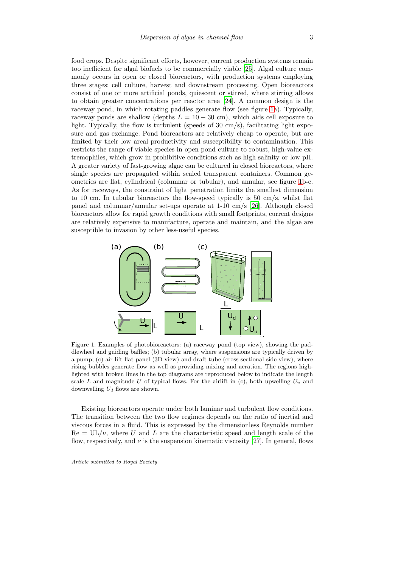food crops. Despite significant efforts, however, current production systems remain too inefficient for algal biofuels to be commercially viable [\[25\]](#page-29-4). Algal culture commonly occurs in open or closed bioreactors, with production systems employing three stages: cell culture, harvest and downstream processing. Open bioreactors consist of one or more artificial ponds, quiescent or stirred, where stirring allows to obtain greater concentrations per reactor area [\[24\]](#page-29-3). A common design is the raceway pond, in which rotating paddles generate flow (see figure [1a](#page-2-0)). Typically, raceway ponds are shallow (depths  $L = 10 - 30$  cm), which aids cell exposure to light. Typically, the flow is turbulent (speeds of  $30 \text{ cm/s}$ ), facilitating light exposure and gas exchange. Pond bioreactors are relatively cheap to operate, but are limited by their low areal productivity and susceptibility to contamination. This restricts the range of viable species in open pond culture to robust, high-value extremophiles, which grow in prohibitive conditions such as high salinity or low pH. A greater variety of fast-growing algae can be cultured in closed bioreactors, where single species are propagated within sealed transparent containers. Common geometries are flat, cylindrical (columnar or tubular), and annular, see figure [1b](#page-2-0)-c. As for raceways, the constraint of light penetration limits the smallest dimension to 10 cm. In tubular bioreactors the flow-speed typically is 50 cm/s, whilst flat panel and columnar/annular set-ups operate at 1-10 cm/s [\[26](#page-29-5)]. Although closed bioreactors allow for rapid growth conditions with small footprints, current designs are relatively expensive to manufacture, operate and maintain, and the algae are susceptible to invasion by other less-useful species.



<span id="page-2-0"></span>Figure 1. Examples of photobioreactors: (a) raceway pond (top view), showing the paddlewheel and guiding baffles; (b) tubular array, where suspensions are typically driven by a pump; (c) air-lift flat panel (3D view) and draft-tube (cross-sectional side view), where rising bubbles generate flow as well as providing mixing and aeration. The regions highlighted with broken lines in the top diagrams are reproduced below to indicate the length scale L and magnitude U of typical flows. For the airlift in (c), both upwelling  $U_u$  and downwelling  $U_d$  flows are shown.

Existing bioreactors operate under both laminar and turbulent flow conditions. The transition between the two flow regimes depends on the ratio of inertial and viscous forces in a fluid. This is expressed by the dimensionless Reynolds number  $Re = UL/\nu$ , where U and L are the characteristic speed and length scale of the flow, respectively, and  $\nu$  is the suspension kinematic viscosity [\[27\]](#page-29-6). In general, flows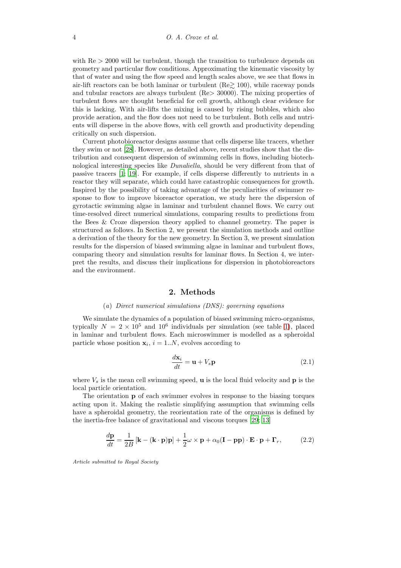with  $Re > 2000$  will be turbulent, though the transition to turbulence depends on geometry and particular flow conditions. Approximating the kinematic viscosity by that of water and using the flow speed and length scales above, we see that flows in air-lift reactors can be both laminar or turbulent ( $\text{Re} \geq 100$ ), while raceway ponds and tubular reactors are always turbulent (Re> 30000). The mixing properties of turbulent flows are thought beneficial for cell growth, although clear evidence for this is lacking. With air-lifts the mixing is caused by rising bubbles, which also provide aeration, and the flow does not need to be turbulent. Both cells and nutrients will disperse in the above flows, with cell growth and productivity depending critically on such dispersion.

Current photobioreactor designs assume that cells disperse like tracers, whether they swim or not [\[28\]](#page-29-7). However, as detailed above, recent studies show that the distribution and consequent dispersion of swimming cells in flows, including biotechnological interesting species like Dunaliella, should be very different from that of passive tracers [\[1](#page-27-0); [19](#page-28-15)]. For example, if cells disperse differently to nutrients in a reactor they will separate, which could have catastrophic consequences for growth. Inspired by the possibility of taking advantage of the peculiarities of swimmer response to flow to improve bioreactor operation, we study here the dispersion of gyrotactic swimming algae in laminar and turbulent channel flows. We carry out time-resolved direct numerical simulations, comparing results to predictions from the Bees & Croze dispersion theory applied to channel geometry. The paper is structured as follows. In Section 2, we present the simulation methods and outline a derivation of the theory for the new geometry. In Section 3, we present simulation results for the dispersion of biased swimming algae in laminar and turbulent flows, comparing theory and simulation results for laminar flows. In Section 4, we interpret the results, and discuss their implications for dispersion in photobioreactors and the environment.

## 2. Methods

#### (a) Direct numerical simulations (DNS): governing equations

We simulate the dynamics of a population of biased swimming micro-organisms, typically  $N = 2 \times 10^5$  and  $10^6$  individuals per simulation (see table [1\)](#page-8-0), placed in laminar and turbulent flows. Each microswimmer is modelled as a spheroidal particle whose position  $\mathbf{x}_i$ ,  $i = 1..N$ , evolves according to

$$
\frac{d\mathbf{x}_i}{dt} = \mathbf{u} + V_s \mathbf{p}
$$
 (2.1)

where  $V_s$  is the mean cell swimming speed, **u** is the local fluid velocity and **p** is the local particle orientation.

The orientation p of each swimmer evolves in response to the biasing torques acting upon it. Making the realistic simplifying assumption that swimming cells have a spheroidal geometry, the reorientation rate of the organisms is defined by the inertia-free balance of gravitational and viscous torques [\[29](#page-29-8); [13](#page-28-9)]

$$
\frac{d\mathbf{p}}{dt} = \frac{1}{2B} \left[ \mathbf{k} - (\mathbf{k} \cdot \mathbf{p}) \mathbf{p} \right] + \frac{1}{2} \omega \times \mathbf{p} + \alpha_0 (\mathbf{I} - \mathbf{p} \mathbf{p}) \cdot \mathbf{E} \cdot \mathbf{p} + \mathbf{\Gamma}_r, \quad (2.2)
$$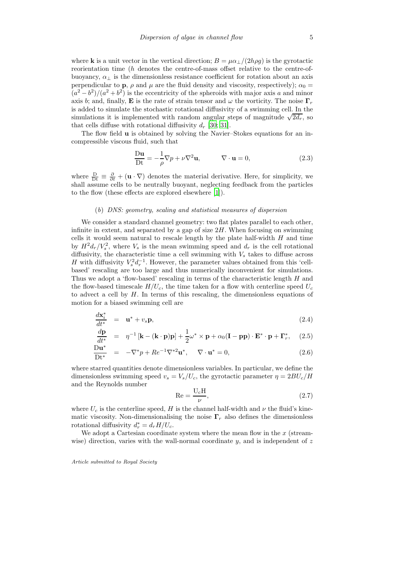where **k** is a unit vector in the vertical direction;  $B = \mu \alpha_{\perp}/(2h\rho g)$  is the gyrotactic reorientation time (h denotes the centre-of-mass offset relative to the centre-ofbuoyancy,  $\alpha_{\perp}$  is the dimensionless resistance coefficient for rotation about an axis perpendicular to **p**,  $\rho$  and  $\mu$  are the fluid density and viscosity, respectively);  $\alpha_0 =$  $(a^2 - b^2)/(a^2 + b^2)$  is the eccentricity of the spheroids with major axis a and minor axis b; and, finally, **E** is the rate of strain tensor and  $\omega$  the vorticity. The noise  $\Gamma_r$ is added to simulate the stochastic rotational diffusivity of a swimming cell. In the simulations it is implemented with random angular steps of magnitude  $\sqrt{2d_r}$ , so that cells diffuse with rotational diffusivity  $d_r$  [\[30](#page-29-9); [31](#page-29-10)].

The flow field u is obtained by solving the Navier–Stokes equations for an incompressible viscous fluid, such that

<span id="page-4-1"></span>
$$
\frac{\mathbf{D}\mathbf{u}}{\mathbf{D}\mathbf{t}} = -\frac{1}{\rho}\nabla p + \nu \nabla^2 \mathbf{u}, \qquad \nabla \cdot \mathbf{u} = 0,
$$
\n(2.3)

where  $\frac{D}{Dt} \equiv \frac{\partial}{\partial t} + (\mathbf{u} \cdot \nabla)$  denotes the material derivative. Here, for simplicity, we shall assume cells to be neutrally buoyant, neglecting feedback from the particles to the flow (these effects are explored elsewhere [\[1](#page-27-0)]).

#### (b) DNS: geometry, scaling and statistical measures of dispersion

We consider a standard channel geometry: two flat plates parallel to each other, infinite in extent, and separated by a gap of size  $2H$ . When focusing on swimming cells it would seem natural to rescale length by the plate half-width H and time by  $H^2d_r/V_s^2$ , where  $V_s$  is the mean swimming speed and  $d_r$  is the cell rotational diffusivity, the characteristic time a cell swimming with  $V_s$  takes to diffuse across H with diffusivity  $V_s^2 d_r^{-1}$ . However, the parameter values obtained from this 'cellbased' rescaling are too large and thus numerically inconvenient for simulations. Thus we adopt a 'flow-based' rescaling in terms of the characteristic length H and the flow-based timescale  $H/U_c$ , the time taken for a flow with centerline speed  $U_c$ to advect a cell by  $H$ . In terms of this rescaling, the dimensionless equations of motion for a biased swimming cell are

<span id="page-4-0"></span>
$$
\frac{d\mathbf{x}_{i}^{*}}{dt^{*}} = \mathbf{u}^{*} + v_{s}\mathbf{p},\tag{2.4}
$$

$$
\frac{d\mathbf{p}}{dt^*} = \eta^{-1} \left[ \mathbf{k} - (\mathbf{k} \cdot \mathbf{p}) \mathbf{p} \right] + \frac{1}{2} \omega^* \times \mathbf{p} + \alpha_0 (\mathbf{I} - \mathbf{p} \mathbf{p}) \cdot \mathbf{E}^* \cdot \mathbf{p} + \mathbf{\Gamma}_r^*, \quad (2.5)
$$

$$
\frac{\mathbf{D}\mathbf{u}^*}{\mathbf{D}\mathbf{t}^*} = -\nabla^* p + Re^{-1} \nabla^{*2} \mathbf{u}^*, \quad \nabla \cdot \mathbf{u}^* = 0,
$$
\n(2.6)

where starred quantities denote dimensionless variables. In particular, we define the dimensionless swimming speed  $v_s = V_s/U_c$ , the gyrotactic parameter  $\eta = 2BU_c/H$ and the Reynolds number

<span id="page-4-2"></span>
$$
\text{Re} = \frac{\text{U}_{\text{c}}\text{H}}{\nu},\tag{2.7}
$$

where  $U_c$  is the centerline speed, H is the channel half-width and  $\nu$  the fluid's kinematic viscosity. Non-dimensionalising the noise  $\Gamma_r$  also defines the dimensionless rotational diffusivity  $d_r^* = d_r H/U_c$ .

We adopt a Cartesian coordinate system where the mean flow in the  $x$  (streamwise) direction, varies with the wall-normal coordinate  $y$ , and is independent of z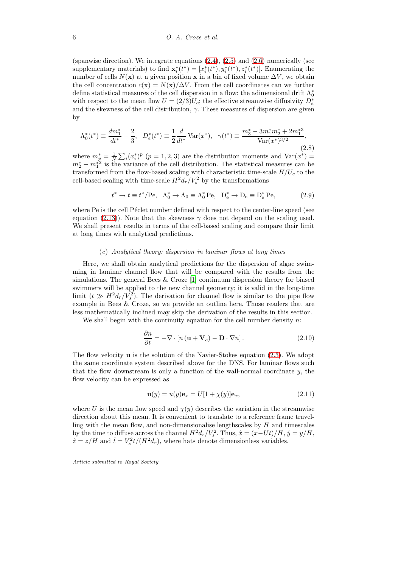(spanwise direction). We integrate equations  $(2.4)$ ,  $(2.5)$  and  $(2.6)$  numerically (see supplementary materials) to find  $\mathbf{x}_{i}^{*}(t^{*}) = [x_{i}^{*}(t^{*}), y_{i}^{*}(t^{*}), z_{i}^{*}(t^{*})]$ . Enumerating the number of cells  $N(x)$  at a given position x in a bin of fixed volume  $\Delta V$ , we obtain the cell concentration  $c(\mathbf{x}) = N(\mathbf{x})/\Delta V$ . From the cell coordinates can we further define statistical measures of the cell dispersion in a flow: the adimensional drift  $\Lambda_0^*$ with respect to the mean flow  $U = (2/3)U_c$ ; the effective streamwise diffusivity  $D_e^*$ and the skewness of the cell distribution,  $\gamma$ . These measures of dispersion are given by

$$
\Lambda_0^*(t^*) \equiv \frac{dm_1^*}{dt^*} - \frac{2}{3}, \quad D_e^*(t^*) \equiv \frac{1}{2}\frac{d}{dt^*} \operatorname{Var}(x^*), \quad \gamma(t^*) \equiv \frac{m_3^* - 3m_1^*m_2^* + 2m_1^{*3}}{\operatorname{Var}(x^*)^{3/2}},\tag{2.8}
$$

where  $m_{\overline{p}}^* = \frac{1}{N} \sum_i (x_i^*)^p$  ( $p = 1, 2, 3$ ) are the distribution moments and Var( $x^*$ ) =  $m_2^* - m_1^{*2}$  is the variance of the cell distribution. The statistical measures can be transformed from the flow-based scaling with characteristic time-scale  $H/U_c$  to the cell-based scaling with time-scale  $H^2 d_r / V_s^2$  by the transformations

$$
t^* \to t \equiv t^*/\text{Pe}, \quad \Lambda_0^* \to \Lambda_0 \equiv \Lambda_0^* \text{Pe}, \quad D_e^* \to D_e \equiv D_e^* \text{Pe},
$$
 (2.9)

where Pe is the cell Péclet number defined with respect to the center-line speed (see equation [\(2.13\)](#page-6-0)). Note that the skewness  $\gamma$  does not depend on the scaling used. We shall present results in terms of the cell-based scaling and compare their limit at long times with analytical predictions.

#### (c) Analytical theory: dispersion in laminar flows at long times

<span id="page-5-1"></span>Here, we shall obtain analytical predictions for the dispersion of algae swimming in laminar channel flow that will be compared with the results from the simulations. The general Bees & Croze [\[1](#page-27-0)] continuum dispersion theory for biased swimmers will be applied to the new channel geometry; it is valid in the long-time limit  $(t \gg H^2 d_r / V_s^2)$ . The derivation for channel flow is similar to the pipe flow example in Bees & Croze, so we provide an outline here. Those readers that are less mathematically inclined may skip the derivation of the results in this section.

We shall begin with the continuity equation for the cell number density  $n$ .

<span id="page-5-0"></span>
$$
\frac{\partial n}{\partial t} = -\nabla \cdot \left[ n \left( \mathbf{u} + \mathbf{V}_c \right) - \mathbf{D} \cdot \nabla n \right]. \tag{2.10}
$$

The flow velocity  $\bf{u}$  is the solution of the Navier-Stokes equation [\(2.3\)](#page-4-1). We adopt the same coordinate system described above for the DNS. For laminar flows such that the flow downstream is only a function of the wall-normal coordinate  $y$ , the flow velocity can be expressed as

$$
\mathbf{u}(y) = u(y)\mathbf{e}_x = U[1 + \chi(y)]\mathbf{e}_x,\tag{2.11}
$$

where U is the mean flow speed and  $\chi(y)$  describes the variation in the streamwise direction about this mean. It is convenient to translate to a reference frame travelling with the mean flow, and non-dimensionalise lengthscales by  $H$  and timescales by the time to diffuse across the channel  $H^2d_r/V_s^2$ . Thus,  $\hat{x} = (x-Ut)/H$ ,  $\hat{y} = y/H$ ,  $\hat{z} = z/H$  and  $\hat{t} = V_s^2 t/(H^2 d_r)$ , where hats denote dimensionless variables.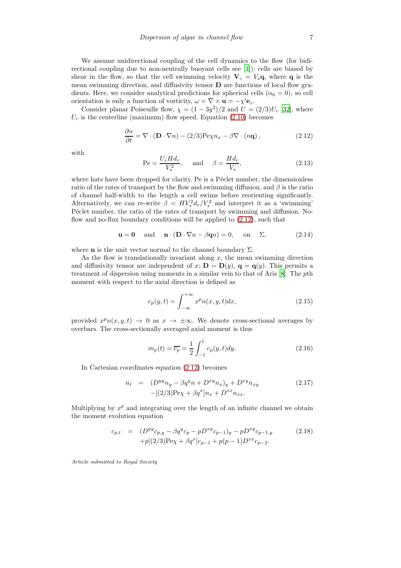We assume unidirectional coupling of the cell dynamics to the flow (for bidirectional coupling due to non-neutrally buoyant cells see [\[1](#page-27-0)]): cells are biased by shear in the flow, so that the cell swimming velocity  $V_c = V_s q$ , where q is the mean swimming direction, and diffusivity tensor D are functions of local flow gradients. Here, we consider analytical predictions for spherical cells  $(\alpha_0 = 0)$ , so cell orientation is only a function of vorticity,  $\omega = \nabla \times \mathbf{u} = -\chi' \mathbf{e}_z$ .

Consider planar Poiseuille flow,  $\chi = (1 - 3y^2)/2$  and  $U = (2/3)U_c$  [\[32\]](#page-29-11), where  $U_c$  is the centerline (maximum) flow speed. Equation [\(2.10\)](#page-5-0) becomes

<span id="page-6-1"></span>
$$
\frac{\partial n}{\partial t} = \nabla \cdot (\mathbf{D} \cdot \nabla n) - (2/3) \text{Pe}\chi n_x - \beta \nabla \cdot (n\mathbf{q}),\tag{2.12}
$$

with

<span id="page-6-0"></span>
$$
\text{Pe} = \frac{U_c H d_r}{V_s^2}, \quad \text{and} \quad \beta = \frac{H d_r}{V_s}, \tag{2.13}
$$

where hats have been dropped for clarity. Pe is a Péclet number, the dimensionless ratio of the rates of transport by the flow and swimming diffusion, and  $\beta$  is the ratio of channel half-width to the length a cell swims before reorienting significantly. Alternatively, we can re-write  $\beta = HV_s^2 d_r/V_s^2$  and interpret it as a 'swimming' P<sub>eclet</sub> number, the ratio of the rates of transport by swimming and diffusion. Noflow and no-flux boundary conditions will be applied to  $(2.12)$ , such that

<span id="page-6-2"></span>
$$
\mathbf{u} = \mathbf{0} \quad \text{and} \quad \mathbf{n} \cdot (\mathbf{D} \cdot \nabla n - \beta \mathbf{q} n) = 0, \quad \text{on} \quad \Sigma,
$$
 (2.14)

where **n** is the unit vector normal to the channel boundary  $\Sigma$ .

As the flow is translationally invariant along  $x$ , the mean swimming direction and diffusivity tensor are independent of x:  $\mathbf{D} = \mathbf{D}(y)$ ,  $\mathbf{q} = \mathbf{q}(y)$ . This permits a treatment of dispersion using moments in a similar vein to that of Aris [\[8\]](#page-28-4). The pth moment with respect to the axial direction is defined as

$$
c_p(y,t) = \int_{-\infty}^{+\infty} x^p n(x,y,t) dx,
$$
\n(2.15)

provided  $x^p n(x, y, t) \rightarrow 0$  as  $x \rightarrow \pm \infty$ . We denote cross-sectional averages by overbars. The cross-sectionally averaged axial moment is thus

$$
m_p(t) = \overline{c_p} = \frac{1}{2} \int_{-1}^{1} c_p(y, t) dy.
$$
 (2.16)

In Cartesian coordinates equation [\(2.12\)](#page-6-1) becomes

$$
n_t = (D^{yy}n_y - \beta q^yn + D^{xy}n_x)_y + D^{xy}n_{xy}
$$
  
-[(2/3)Pey + \beta q^x]n\_x + D^{xx}n\_{xx}. (2.17)

Multiplying by  $x^p$  and integrating over the length of an infinite channel we obtain the moment evolution equation

$$
c_{p,t} = (D^{yy}c_{p,y} - \beta q^y c_p - pD^{xy} c_{p-1})_y - pD^{xy} c_{p-1,y}
$$
  
+ $p[(2/3)P \cdot (2/3)P^y + \beta q^x] c_{p-1} + p(p-1)D^{xx} c_{p-2}.$  (2.18)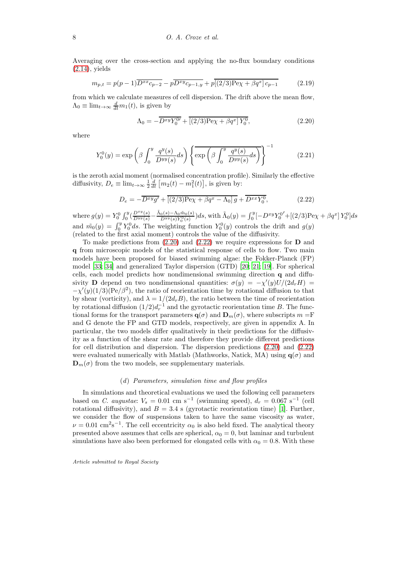Averaging over the cross-section and applying the no-flux boundary conditions  $(2.14)$ , yields

$$
m_{p,t} = p(p-1)\overline{D^{xx}c_{p-2}} - p\overline{D^{xy}c_{p-1,y}} + p\overline{[(2/3)P\mathbf{e}\chi + \beta q^{x}]c_{p-1}} \tag{2.19}
$$

from which we calculate measures of cell dispersion. The drift above the mean flow,  $\Lambda_0 \equiv \lim_{t \to \infty} \frac{d}{dt} m_1(t)$ , is given by

<span id="page-7-0"></span>
$$
\Lambda_0 = -\overline{D^{xy}Y_0^{0\prime}} + \overline{[(2/3)P_{0\prime} + \beta q^x]Y_0^{0}},\tag{2.20}
$$

where

<span id="page-7-2"></span>
$$
Y_0^0(y) = \exp\left(\beta \int_0^y \frac{q^y(s)}{D^{yy}(s)} ds\right) \left\{ \exp\left(\beta \int_0^y \frac{q^y(s)}{D^{yy}(s)} ds\right) \right\}^{-1}
$$
(2.21)

is the zeroth axial moment (normalised concentration profile). Similarly the effective diffusivity,  $D_e \equiv \lim_{t \to \infty} \frac{1}{2} \frac{d}{dt} [m_2(t) - m_1^2(t)]$ , is given by:

<span id="page-7-1"></span>
$$
D_e = -\overline{D^{xy}g'} + \overline{[(2/3)P\mathbf{e}\chi + \beta q^x - \Lambda_0]g} + \overline{D^{xx}Y_0^0},\tag{2.22}
$$

where  $g(y) = Y_0^0 \int_0^y (\frac{D^{xy}(s)}{D^{yy}(s)} - \frac{\tilde{\Lambda}_0(s) - \Lambda_0 \tilde{m}_0(s)}{D^{yy}(s)Y_0^0(s)})$  $\frac{\partial (s) - \Lambda_0 \tilde{m}_0(s)}{D^{yy}(s)Y_0^0(s)}ds$ , with  $\tilde{\Lambda}_0(y) = \int_0^y [-D^{xy}Y_0^{0'} + [(2/3) \text{Pe}\chi + \beta q^x] Y_0^0] ds$ and  $\tilde{m}_0(y) = \int_0^y Y_0^0 ds$ . The weighting function  $Y_0^0(y)$  controls the drift and  $g(y)$ (related to the first axial moment) controls the value of the diffusivity.

To make predictions from  $(2.20)$  and  $(2.22)$  we require expressions for **D** and q from microscopic models of the statistical response of cells to flow. Two main models have been proposed for biased swimming algae: the Fokker-Planck (FP) model [\[33](#page-29-12); [34\]](#page-29-13) and generalized Taylor dispersion (GTD) [\[20;](#page-28-16) [21;](#page-29-0) [19](#page-28-15)]. For spherical cells, each model predicts how nondimensional swimming direction q and diffusivity **D** depend on two nondimensional quantities:  $\sigma(y) = -\chi'(y)U/(2d_rH)$  $-\chi'(y)(1/3)(\text{Pe}/\beta^2)$ , the ratio of reorientation time by rotational diffusion to that by shear (vorticity), and  $\lambda = 1/(2d_rB)$ , the ratio between the time of reorientation by rotational diffusion  $(1/2)d<sub>r</sub><sup>-1</sup>$  and the gyrotactic reorientation time B. The functional forms for the transport parameters  $q(\sigma)$  and  $D_m(\sigma)$ , where subscripts  $m = \mathbb{F}$ and G denote the FP and GTD models, respectively, are given in appendix A. In particular, the two models differ qualitatively in their predictions for the diffusivity as a function of the shear rate and therefore they provide different predictions for cell distribution and dispersion. The dispersion predictions [\(2.20\)](#page-7-0) and [\(2.22\)](#page-7-1) were evaluated numerically with Matlab (Mathworks, Natick, MA) using  $q(\sigma)$  and  $\mathbf{D}_{m}(\sigma)$  from the two models, see supplementary materials.

## (d) Parameters, simulation time and flow profiles

In simulations and theoretical evaluations we used the following cell parameters based on *C. augustae*:  $V_s = 0.01$  cm s<sup>-1</sup> (swimming speed),  $d_r = 0.067$  s<sup>-1</sup> (cell rotational diffusivity), and  $B = 3.4$  s (gyrotactic reorientation time) [\[1](#page-27-0)]. Further, we consider the flow of suspensions taken to have the same viscosity as water,  $\nu = 0.01$  cm<sup>2</sup>s<sup>-1</sup>. The cell eccentricity  $\alpha_0$  is also held fixed. The analytical theory presented above assumes that cells are spherical,  $\alpha_0 = 0$ , but laminar and turbulent simulations have also been performed for elongated cells with  $\alpha_0 = 0.8$ . With these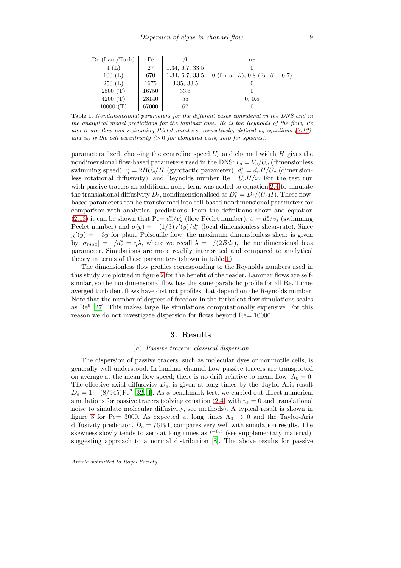| Re (Lam/Turb) | Pe    |                 | $\alpha_0$                                     |
|---------------|-------|-----------------|------------------------------------------------|
| 4(L)          | 27    | 1.34, 6.7, 33.5 |                                                |
| 100(L)        | 670   | 1.34, 6.7, 33.5 | 0 (for all $\beta$ ), 0.8 (for $\beta = 6.7$ ) |
| 250(L)        | 1675  | 3.35, 33.5      |                                                |
| 2500(T)       | 16750 | 33.5            |                                                |
| 4200 $(T)$    | 28140 | 55              | 0, 0.8                                         |
| 10000         | 67000 | 67              |                                                |

<span id="page-8-0"></span>Table 1. Nondimensional parameters for the different cases considered in the DNS and in the analytical model predictions for the laminar case. Re is the Reynolds of the flow, Pe and  $\beta$  are flow and swimming Péclet numbers, respectively, defined by equations [\(2.13\)](#page-6-0), and  $\alpha_0$  is the cell eccentricity (> 0 for elongated cells, zero for spheres).

parameters fixed, choosing the centreline speed  $U_c$  and channel width  $H$  gives the nondimensional flow-based parameters used in the DNS:  $v_s = V_s/U_c$  (dimensionless swimming speed),  $\eta = 2BU_c/H$  (gyrotactic parameter),  $d_r^* = d_r H/U_c$  (dimensionless rotational diffusivity), and Reynolds number  $\text{Re} = U_c H/\nu$ . For the test run with passive tracers an additional noise term was added to equation [2.4](#page-4-0) to simulate the translational diffusivity  $D_t$ , nondimensionalised as  $D_t^* = D_t/(U_c H)$ . These flowbased parameters can be transformed into cell-based nondimensional parameters for comparison with analytical predictions. From the definitions above and equation [\(2.13\)](#page-6-0) it can be shown that Pe=  $d_r^*/v_s^2$  (flow Péclet number),  $\beta = d_r^*/v_s$  (swimming Péclet number) and  $\sigma(y) = -(1/3)\chi'(y)/d_r^*$  (local dimensionless shear-rate). Since  $\chi'(y) = -3y$  for plane Poiseuille flow, the maximum dimensionless shear is given by  $|\sigma_{max}| = 1/d_r^* = \eta \lambda$ , where we recall  $\lambda = 1/(2Bd_r)$ , the nondimensional bias parameter. Simulations are more readily interpreted and compared to analytical theory in terms of these parameters (shown in table [1\)](#page-8-0).

The dimensionless flow profiles corresponding to the Reynolds numbers used in this study are plotted in figure [2](#page-9-0) for the benefit of the reader. Laminar flows are selfsimilar, so the nondimensional flow has the same parabolic profile for all Re. Timeaverged turbulent flows have distinct profiles that depend on the Reynolds number. Note that the number of degrees of freedom in the turbulent flow simulations scales as Re<sup>9</sup> [\[27](#page-29-6)]. This makes large Re simulations computationally expensive. For this reason we do not investigate dispersion for flows beyond Re= 10000.

## 3. Results

#### (a) Passive tracers: classical dispersion

The dispersion of passive tracers, such as molecular dyes or nonmotile cells, is generally well understood. In laminar channel flow passive tracers are transported on average at the mean flow speed; there is no drift relative to mean flow:  $\Lambda_0 = 0$ . The effective axial diffusivity  $D_e$ , is given at long times by the Taylor-Aris result  $D_e = 1 + (8/945) \text{Pe}^2$  [\[32;](#page-29-11) [4\]](#page-28-0). As a benchmark test, we carried out direct numerical simulations for passive tracers (solving equation [\(2.4\)](#page-4-0) with  $v_s = 0$  and translational noise to simulate molecular diffusivity, see methods). A typical result is shown in figure [3](#page-9-1) for Pe= 3000. As expected at long times  $\Lambda_0 \rightarrow 0$  and the Taylor-Aris diffusivity prediction,  $D_e = 76191$ , compares very well with simulation results. The skewness slowly tends to zero at long times as  $t^{-0.5}$  (see supplementary material), suggesting approach to a normal distribution [\[8](#page-28-4)]. The above results for passive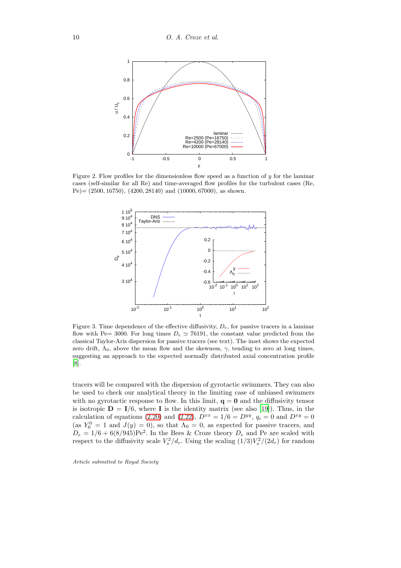

<span id="page-9-0"></span>Figure 2. Flow profiles for the dimensionless flow speed as a function of  $\gamma$  for the laminar cases (self-similar for all Re) and time-averaged flow profiles for the turbulent cases (Re,  $Pe$  = (2500, 16750), (4200, 28140) and (10000, 67000), as shown.



<span id="page-9-1"></span>Figure 3. Time dependence of the effective diffusivity,  $D_e$ , for passive tracers in a laminar flow with Pe= 3000. For long times  $D_e \simeq 76191$ , the constant value predicted from the classical Taylor-Aris dispersion for passive tracers (see text). The inset shows the expected zero drift,  $\Lambda_0$ , above the mean flow and the skewness,  $\gamma$ , tending to zero at long times, suggesting an approach to the expected normally distributed axial concentration profile [\[8\]](#page-28-4).

tracers will be compared with the dispersion of gyrotactic swimmers. They can also be used to check our analytical theory in the limiting case of unbiased swimmers with no gyrotactic response to flow. In this limit,  $q = 0$  and the diffusivity tensor is isotropic  $\mathbf{D} = \mathbf{I}/6$ , where **I** is the identity matrix (see also [\[19\]](#page-28-15)). Thus, in the calculation of equations [\(2.20\)](#page-7-0) and [\(2.22\)](#page-7-1),  $D^{xx} = 1/6 = D^{yy}$ ,  $q_i = 0$  and  $D^{xy} = 0$ (as  $Y_0^0 = 1$  and  $J(y) = 0$ ), so that  $\Lambda_0 = 0$ , as expected for passive tracers, and  $D_e = 1/6 + 6(8/945)$ Pe<sup>2</sup>. In the Bees & Croze theory  $D_e$  and Pe are scaled with respect to the diffusivity scale  $V_s^2/d_r$ . Using the scaling  $(1/3)V_s^2/(2d_r)$  for random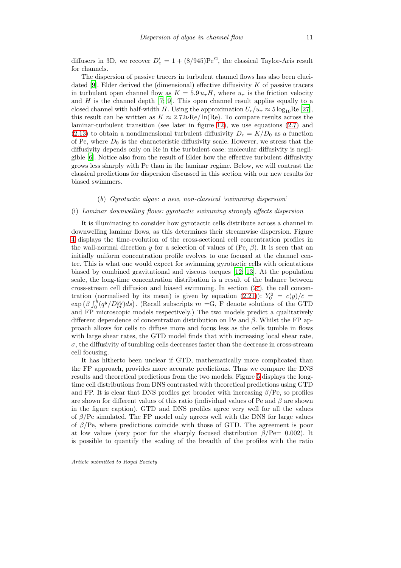diffusers in 3D, we recover  $D'_e = 1 + (8/945) \text{Pe}'^2$ , the classical Taylor-Aris result for channels.

The dispersion of passive tracers in turbulent channel flows has also been eluci-dated [\[9](#page-28-5)]. Elder derived the (dimensional) effective diffusivity  $K$  of passive tracers in turbulent open channel flow as  $K = 5.9 u_{\tau} H$ , where  $u_{\tau}$  is the friction velocity and  $H$  is the channel depth [\[7;](#page-28-3) [9\]](#page-28-5). This open channel result applies equally to a closed channel with half-width H. Using the approximation  $U_c/u_\tau \approx 5 \log_{10} \text{Re}$  [\[27\]](#page-29-6), this result can be written as  $K \approx 2.72 \nu \text{Re} / \ln(\text{Re})$ . To compare results across the laminar-turbulent transition (see later in figure [12\)](#page-19-0), we use equations [\(2.7\)](#page-4-2) and [\(2.13\)](#page-6-0) to obtain a nondimensional turbulent diffusivity  $D_e = K/D_0$  as a function of Pe, where  $D_0$  is the characteristic diffusivity scale. However, we stress that the diffusivity depends only on Re in the turbulent case: molecular diffusivity is negligible [\[6](#page-28-2)]. Notice also from the result of Elder how the effective turbulent diffusivity grows less sharply with Pe than in the laminar regime. Below, we will contrast the classical predictions for dispersion discussed in this section with our new results for biased swimmers.

#### (b) Gyrotactic algae: a new, non-classical 'swimming dispersion'

#### <span id="page-10-0"></span>(i) Laminar downwelling flows: gyrotactic swimming strongly affects dispersion

It is illuminating to consider how gyrotactic cells distribute across a channel in downwelling laminar flows, as this determines their streamwise dispersion. Figure [4](#page-11-0) displays the time-evolution of the cross-sectional cell concentration profiles in the wall-normal direction y for a selection of values of (Pe,  $\beta$ ). It is seen that an initially uniform concentration profile evolves to one focused at the channel centre. This is what one would expect for swimming gyrotactic cells with orientations biased by combined gravitational and viscous torques [\[12;](#page-28-8) [13\]](#page-28-9). At the population scale, the long-time concentration distribution is a result of the balance between cross-stream cell diffusion and biased swimming. In section ([2c\)](#page-5-1), the cell concen-tration (normalised by its mean) is given by equation [\(2.21\)](#page-7-2)):  $Y_0^0 = c(y)/\bar{c}$  $\exp\left(\beta \int_0^y (q^y/D_m^{yy}) ds\right)$ . (Recall subscripts  $m = G$ , F denote solutions of the GTD and FP microscopic models respectively.) The two models predict a qualitatively different dependence of concentration distribution on Pe and  $\beta$ . Whilst the FP approach allows for cells to diffuse more and focus less as the cells tumble in flows with large shear rates, the GTD model finds that with increasing local shear rate,  $\sigma$ , the diffusivity of tumbling cells decreases faster than the decrease in cross-stream cell focusing.

It has hitherto been unclear if GTD, mathematically more complicated than the FP approach, provides more accurate predictions. Thus we compare the DNS results and theoretical predictions from the two models. Figure [5](#page-12-0) displays the longtime cell distributions from DNS contrasted with theoretical predictions using GTD and FP. It is clear that DNS profiles get broader with increasing  $\beta$ /Pe, so profiles are shown for different values of this ratio (individual values of Pe and  $\beta$  are shown in the figure caption). GTD and DNS profiles agree very well for all the values of  $\beta$ /Pe simulated. The FP model only agrees well with the DNS for large values of  $\beta$ /Pe, where predictions coincide with those of GTD. The agreement is poor at low values (very poor for the sharply focused distribution  $\beta$ /Pe= 0.002). It is possible to quantify the scaling of the breadth of the profiles with the ratio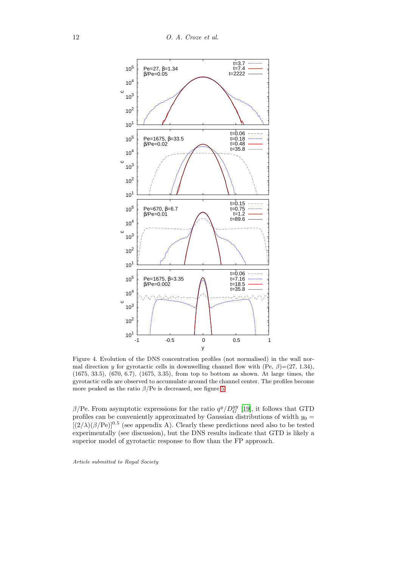

<span id="page-11-0"></span>Figure 4. Evolution of the DNS concentration profiles (not normalised) in the wall normal direction y for gyrotactic cells in downwelling channel flow with (Pe,  $\beta$ )=(27, 1.34), (1675, 33.5), (670, 6.7), (1675, 3.35), from top to bottom as shown. At large times, the gyrotactic cells are observed to accumulate around the channel center. The profiles become more peaked as the ratio  $\beta$ /Pe is decreased, see figure [5.](#page-12-0)

 $\beta$ /Pe. From asymptotic expressions for the ratio  $q^y/D_G^{yy}$  [\[19\]](#page-28-15), it follows that GTD profiles can be conveniently approximated by Gaussian distributions of width  $y_0 =$  $[(2/\lambda)(\beta/\text{Pe})]^{0.5}$  (see appendix A). Clearly these predictions need also to be tested experimentally (see discussion), but the DNS results indicate that GTD is likely a superior model of gyrotactic response to flow than the FP approach.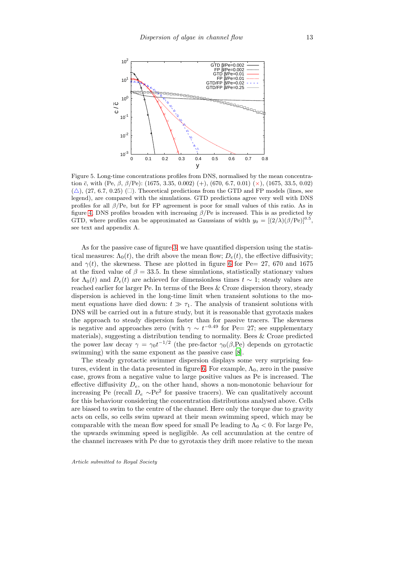

<span id="page-12-0"></span>Figure 5. Long-time concentrations profiles from DNS, normalised by the mean concentration  $\bar{c}$ , with (Pe,  $\beta$ ,  $\beta$ /Pe): (1675, 3.35, 0.002) (+), (670, 6.7, 0.01) ( $\times$ ), (1675, 33.5, 0.02)  $(\triangle)$ ,  $(27, 6.7, 0.25)$  ( $\square$ ). Theoretical predictions from the GTD and FP models (lines, see legend), are compared with the simulations. GTD predictions agree very well with DNS profiles for all  $\beta$ /Pe, but for FP agreement is poor for small values of this ratio. As in figure [4,](#page-11-0) DNS profiles broaden with increasing  $\beta$ /Pe is increased. This is as predicted by GTD, where profiles can be approximated as Gaussians of width  $y_0 = [(2/\lambda)(\beta/\text{Pe})]^{0.5}$ , see text and appendix A.

As for the passive case of figure [3,](#page-9-1) we have quantified dispersion using the statistical measures:  $\Lambda_0(t)$ , the drift above the mean flow;  $D_e(t)$ , the effective diffusivity; and  $\gamma(t)$ , the skewness. These are plotted in figure [6](#page-13-0) for Pe= 27, 670 and 1675 at the fixed value of  $\beta = 33.5$ . In these simulations, statistically stationary values for  $\Lambda_0(t)$  and  $D_e(t)$  are achieved for dimensionless times  $t \sim 1$ ; steady values are reached earlier for larger Pe. In terms of the Bees & Croze dispersion theory, steady dispersion is achieved in the long-time limit when transient solutions to the moment equations have died down:  $t \gg \tau_1$ . The analysis of transient solutions with DNS will be carried out in a future study, but it is reasonable that gyrotaxis makes the approach to steady dispersion faster than for passive tracers. The skewness is negative and approaches zero (with  $\gamma \sim t^{-0.49}$  for Pe= 27; see supplementary materials), suggesting a distribution tending to normality. Bees & Croze predicted the power law decay  $\gamma = \gamma_0 t^{-1/2}$  (the pre-factor  $\gamma_0(\beta, \text{Pe})$  depends on gyrotactic swimming) with the same exponent as the passive case [\[8\]](#page-28-4).

The steady gyrotactic swimmer dispersion displays some very surprising fea-tures, evident in the data presented in figure [6.](#page-13-0) For example,  $\Lambda_0$ , zero in the passive case, grows from a negative value to large positive values as Pe is increased. The effective diffusivity  $D_e$ , on the other hand, shows a non-monotonic behaviour for increasing Pe (recall  $D_e \sim Pe^2$  for passive tracers). We can qualitatively account for this behaviour considering the concentration distributions analysed above. Cells are biased to swim to the centre of the channel. Here only the torque due to gravity acts on cells, so cells swim upward at their mean swimming speed, which may be comparable with the mean flow speed for small Pe leading to  $\Lambda_0 < 0$ . For large Pe, the upwards swimming speed is negligible. As cell accumulation at the centre of the channel increases with Pe due to gyrotaxis they drift more relative to the mean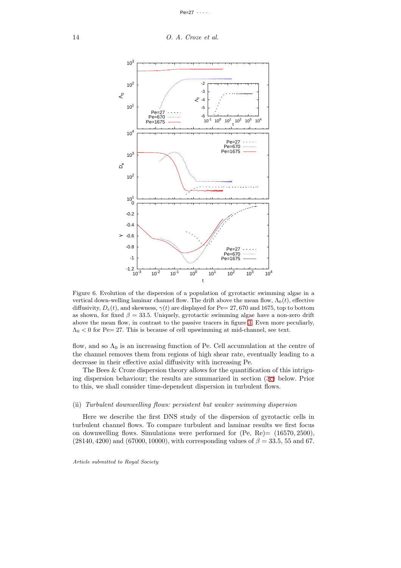

<span id="page-13-0"></span>Figure 6. Evolution of the dispersion of a population of gyrotactic swimming algae in a vertical down-welling laminar channel flow. The drift above the mean flow,  $\Lambda_0(t)$ , effective diffusivity,  $D_e(t)$ , and skewness,  $\gamma(t)$  are displayed for Pe= 27, 670 and 1675, top to bottom as shown, for fixed  $\beta = 33.5$ . Uniquely, gyrotactic swimming algae have a non-zero drift above the mean flow, in contrast to the passive tracers in figure [3.](#page-9-1) Even more peculiarly,  $\Lambda_0$  < 0 for Pe= 27. This is because of cell upswimming at mid-channel, see text.

flow, and so  $\Lambda_0$  is an increasing function of Pe. Cell accumulation at the centre of the channel removes them from regions of high shear rate, eventually leading to a decrease in their effective axial diffusivity with increasing Pe.

The Bees & Croze dispersion theory allows for the quantification of this intriguing dispersion behaviour; the results are summarized in section ([3c\)](#page-17-0) below. Prior to this, we shall consider time-dependent dispersion in turbulent flows.

#### <span id="page-13-1"></span>(ii) Turbulent downwelling flows: persistent but weaker swimming dispersion

Here we describe the first DNS study of the dispersion of gyrotactic cells in turbulent channel flows. To compare turbulent and laminar results we first focus on downwelling flows. Simulations were performed for  $(Pe, Re) = (16570, 2500)$ ,  $(28140, 4200)$  and  $(67000, 10000)$ , with corresponding values of  $\beta = 33.5, 55$  and 67.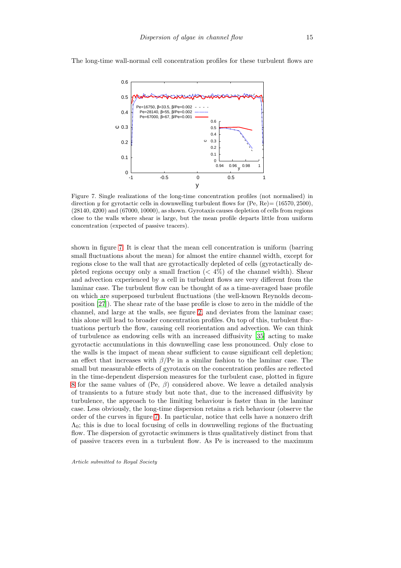

The long-time wall-normal cell concentration profiles for these turbulent flows are

<span id="page-14-0"></span>Figure 7. Single realizations of the long-time concentration profiles (not normalised) in direction y for gyrotactic cells in downwelling turbulent flows for  $(Pe, Re) = (16570, 2500)$ , (28140, 4200) and (67000, 10000), as shown. Gyrotaxis causes depletion of cells from regions close to the walls where shear is large, but the mean profile departs little from uniform concentration (expected of passive tracers).

shown in figure [7.](#page-14-0) It is clear that the mean cell concentration is uniform (barring small fluctuations about the mean) for almost the entire channel width, except for regions close to the wall that are gyrotactically depleted of cells (gyrotactically depleted regions occupy only a small fraction  $(< 4\%)$  of the channel width). Shear and advection experienced by a cell in turbulent flows are very different from the laminar case. The turbulent flow can be thought of as a time-averaged base profile on which are superposed turbulent fluctuations (the well-known Reynolds decomposition [\[27](#page-29-6)]). The shear rate of the base profile is close to zero in the middle of the channel, and large at the walls, see figure [2,](#page-9-0) and deviates from the laminar case; this alone will lead to broader concentration profiles. On top of this, turbulent fluctuations perturb the flow, causing cell reorientation and advection. We can think of turbulence as endowing cells with an increased diffusivity [\[35](#page-29-14)] acting to make gyrotactic accumulations in this downwelling case less pronounced. Only close to the walls is the impact of mean shear sufficient to cause significant cell depletion; an effect that increases with  $\beta$ /Pe in a similar fashion to the laminar case. The small but measurable effects of gyrotaxis on the concentration profiles are reflected in the time-dependent dispersion measures for the turbulent case, plotted in figure [8](#page-15-0) for the same values of (Pe,  $\beta$ ) considered above. We leave a detailed analysis of transients to a future study but note that, due to the increased diffusivity by turbulence, the approach to the limiting behaviour is faster than in the laminar case. Less obviously, the long-time dispersion retains a rich behaviour (observe the order of the curves in figure [7\)](#page-14-0). In particular, notice that cells have a nonzero drift  $\Lambda_0$ ; this is due to local focusing of cells in downwelling regions of the fluctuating flow. The dispersion of gyrotactic swimmers is thus qualitatively distinct from that of passive tracers even in a turbulent flow. As Pe is increased to the maximum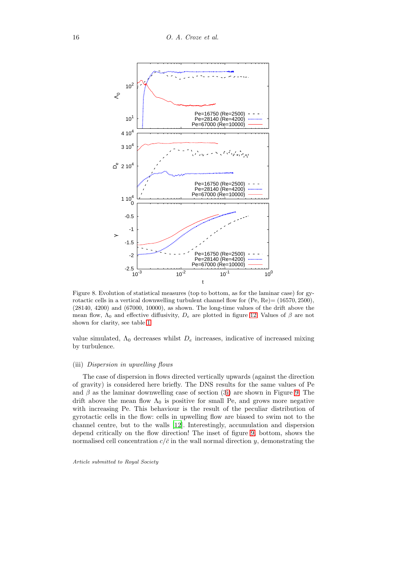

<span id="page-15-0"></span>Figure 8. Evolution of statistical measures (top to bottom, as for the laminar case) for gyrotactic cells in a vertical downwelling turbulent channel flow for (Pe, Re)= (16570, 2500), (28140, 4200) and (67000, 10000), as shown. The long-time values of the drift above the mean flow,  $\Lambda_0$  and effective diffusivity,  $D_e$  are plotted in figure [12.](#page-19-0) Values of  $\beta$  are not shown for clarity, see table [1.](#page-8-0)

value simulated,  $\Lambda_0$  decreases whilst  $D_e$  increases, indicative of increased mixing by turbulence.

## (iii) Dispersion in upwelling flows

The case of dispersion in flows directed vertically upwards (against the direction of gravity) is considered here briefly. The DNS results for the same values of Pe and  $\beta$  as the laminar downwelling case of section ([3i\)](#page-10-0) are shown in Figure [9.](#page-16-0) The drift above the mean flow  $\Lambda_0$  is positive for small Pe, and grows more negative with increasing Pe. This behaviour is the result of the peculiar distribution of gyrotactic cells in the flow: cells in upwelling flow are biased to swim not to the channel centre, but to the walls [\[12\]](#page-28-8). Interestingly, accumulation and dispersion depend critically on the flow direction! The inset of figure [9,](#page-16-0) bottom, shows the normalised cell concentration  $c/\bar{c}$  in the wall normal direction y, demonstrating the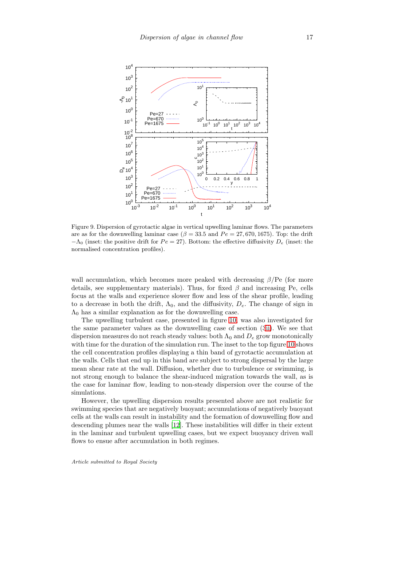

<span id="page-16-0"></span>Figure 9. Dispersion of gyrotactic algae in vertical upwelling laminar flows. The parameters are as for the downwelling laminar case ( $\beta = 33.5$  and  $Pe = 27,670,1675$ ). Top: the drift  $-\Lambda_0$  (inset: the positive drift for  $Pe = 27$ ). Bottom: the effective diffusivity  $D_e$  (inset: the normalised concentration profiles).

wall accumulation, which becomes more peaked with decreasing  $\beta$ /Pe (for more details, see supplementary materials). Thus, for fixed  $\beta$  and increasing Pe, cells focus at the walls and experience slower flow and less of the shear profile, leading to a decrease in both the drift,  $\Lambda_0$ , and the diffusivity,  $D_e$ . The change of sign in  $\Lambda_0$  has a similar explanation as for the downwelling case.

The upwelling turbulent case, presented in figure [10,](#page-17-1) was also investigated for the same parameter values as the downwelling case of section ([3ii\)](#page-13-1). We see that dispersion measures do not reach steady values: both  $\Lambda_0$  and  $D_e$  grow monotonically with time for the duration of the simulation run. The inset to the top figure [10](#page-17-1) shows the cell concentration profiles displaying a thin band of gyrotactic accumulation at the walls. Cells that end up in this band are subject to strong dispersal by the large mean shear rate at the wall. Diffusion, whether due to turbulence or swimming, is not strong enough to balance the shear-induced migration towards the wall, as is the case for laminar flow, leading to non-steady dispersion over the course of the simulations.

However, the upwelling dispersion results presented above are not realistic for swimming species that are negatively buoyant; accumulations of negatively buoyant cells at the walls can result in instability and the formation of downwelling flow and descending plumes near the walls [\[12\]](#page-28-8). These instabilities will differ in their extent in the laminar and turbulent upwelling cases, but we expect buoyancy driven wall flows to ensue after accumulation in both regimes.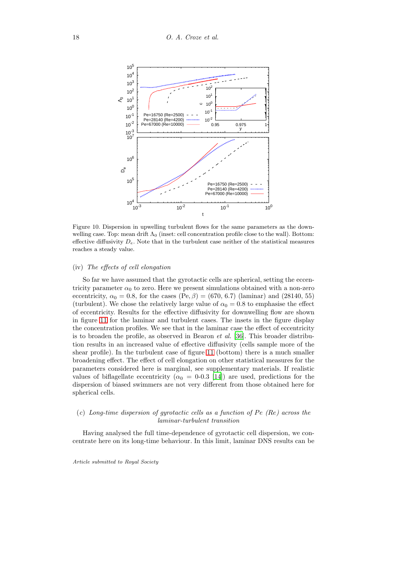

<span id="page-17-1"></span>Figure 10. Dispersion in upwelling turbulent flows for the same parameters as the downwelling case. Top: mean drift  $\Lambda_0$  (inset: cell concentration profile close to the wall). Bottom: effective diffusivity  $D_e$ . Note that in the turbulent case neither of the statistical measures reaches a steady value.

#### (iv) The effects of cell elongation

So far we have assumed that the gyrotactic cells are spherical, setting the eccentricity parameter  $\alpha_0$  to zero. Here we present simulations obtained with a non-zero eccentricity,  $\alpha_0 = 0.8$ , for the cases  $(Pe, \beta) = (670, 6.7)$  (laminar) and (28140, 55) (turbulent). We chose the relatively large value of  $\alpha_0 = 0.8$  to emphasise the effect of eccentricity. Results for the effective diffusivity for downwelling flow are shown in figure [11](#page-18-0) for the laminar and turbulent cases. The insets in the figure display the concentration profiles. We see that in the laminar case the effect of eccentricity is to broaden the profile, as observed in Bearon  $et \ al.$  [\[36\]](#page-29-15). This broader distribution results in an increased value of effective diffusivity (cells sample more of the shear profile). In the turbulent case of figure [11](#page-18-0) (bottom) there is a much smaller broadening effect. The effect of cell elongation on other statistical measures for the parameters considered here is marginal, see supplementary materials. If realistic values of biflagellate eccentricity ( $\alpha_0 = 0.03$  [\[14\]](#page-28-10)) are used, predictions for the dispersion of biased swimmers are not very different from those obtained here for spherical cells.

## <span id="page-17-0"></span>(c) Long-time dispersion of gyrotactic cells as a function of  $Pe (Re)$  across the laminar-turbulent transition

Having analysed the full time-dependence of gyrotactic cell dispersion, we concentrate here on its long-time behaviour. In this limit, laminar DNS results can be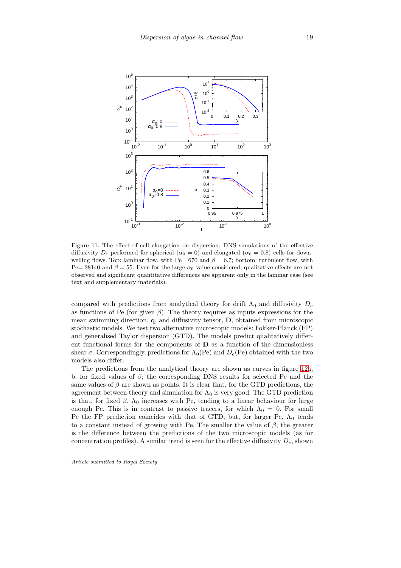

<span id="page-18-0"></span>Figure 11. The effect of cell elongation on dispersion. DNS simulations of the effective diffusivity  $D_e$  performed for spherical ( $\alpha_0 = 0$ ) and elongated ( $\alpha_0 = 0.8$ ) cells for downwelling flows. Top: laminar flow, with Pe= 670 and  $\beta = 6.7$ ; bottom: turbulent flow, with Pe= 28140 and  $\beta = 55$ . Even for the large  $\alpha_0$  value considered, qualitative effects are not observed and significant quantitative differences are apparent only in the laminar case (see text and supplementary materials).

compared with predictions from analytical theory for drift  $\Lambda_0$  and diffusivity  $D_e$ as functions of Pe (for given  $\beta$ ). The theory requires as inputs expressions for the mean swimming direction, q, and diffusivity tensor, D, obtained from microscopic stochastic models. We test two alternative microscopic models: Fokker-Planck (FP) and generalised Taylor dispersion (GTD). The models predict qualitatively different functional forms for the components of D as a function of the dimensionless shear  $\sigma$ . Correspondingly, predictions for  $\Lambda_0$ (Pe) and  $D_e$ (Pe) obtained with the two models also differ.

The predictions from the analytical theory are shown as curves in figure [12a](#page-19-0), b, for fixed values of  $\beta$ ; the corresponding DNS results for selected Pe and the same values of  $\beta$  are shown as points. It is clear that, for the GTD predictions, the agreement between theory and simulation for  $\Lambda_0$  is very good. The GTD prediction is that, for fixed  $\beta$ ,  $\Lambda_0$  increases with Pe, tending to a linear behaviour for large enough Pe. This is in contrast to passive tracers, for which  $\Lambda_0 = 0$ . For small Pe the FP prediction coincides with that of GTD, but, for larger Pe,  $\Lambda_0$  tends to a constant instead of growing with Pe. The smaller the value of  $\beta$ , the greater is the difference between the predictions of the two microscopic models (as for concentration profiles). A similar trend is seen for the effective diffusivity  $D_e$ , shown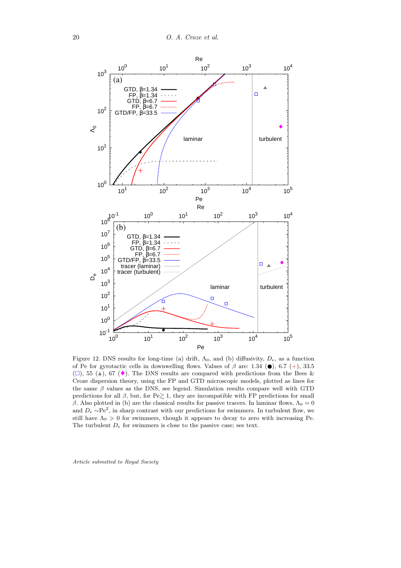

<span id="page-19-0"></span>Figure 12. DNS results for long-time (a) drift,  $\Lambda_0$ , and (b) diffusivity,  $D_e$ , as a function of Pe for gyrotactic cells in downwelling flows. Values of  $\beta$  are: 1.34 ( $\bullet$ ), 6.7 (+), 33.5  $(\square)$ , 55 (A), 67 ( $\blacklozenge$ ). The DNS results are compared with predictions from the Bees & Croze dispersion theory, using the FP and GTD microscopic models, plotted as lines for the same  $\beta$  values as the DNS, see legend. Simulation results compare well with GTD predictions for all β, but, for Pe $\geq 1$ , they are incompatible with FP predictions for small β. Also plotted in (b) are the classical results for passive tracers. In laminar flows,  $Λ<sub>0</sub> = 0$ and  $D_e \sim Pe^2$ , in sharp contrast with our predictions for swimmers. In turbulent flow, we still have  $\Lambda_0 > 0$  for swimmers, though it appears to decay to zero with increasing Pe. The turbulent  $D_e$  for swimmers is close to the passive case; see text.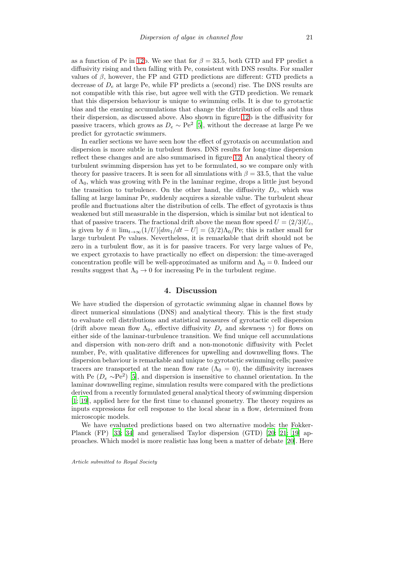as a function of Pe in [12b](#page-19-0). We see that for  $\beta = 33.5$ , both GTD and FP predict a diffusivity rising and then falling with Pe, consistent with DNS results. For smaller values of  $\beta$ , however, the FP and GTD predictions are different: GTD predicts a decrease of  $D_e$  at large Pe, while FP predicts a (second) rise. The DNS results are not compatible with this rise, but agree well with the GTD prediction. We remark that this dispersion behaviour is unique to swimming cells. It is due to gyrotactic bias and the ensuing accumulations that change the distribution of cells and thus their dispersion, as discussed above. Also shown in figure [12b](#page-19-0) is the diffusivity for passive tracers, which grows as  $D_e \sim \text{Pe}^2$  [\[5\]](#page-28-1), without the decrease at large Pe we predict for gyrotactic swimmers.

In earlier sections we have seen how the effect of gyrotaxis on accumulation and dispersion is more subtle in turbulent flows. DNS results for long-time dispersion reflect these changes and are also summarised in figure [12.](#page-19-0) An analytical theory of turbulent swimming dispersion has yet to be formulated, so we compare only with theory for passive tracers. It is seen for all simulations with  $\beta = 33.5$ , that the value of  $\Lambda_0$ , which was growing with Pe in the laminar regime, drops a little just beyond the transition to turbulence. On the other hand, the diffusivity  $D_e$ , which was falling at large laminar Pe, suddenly acquires a sizeable value. The turbulent shear profile and fluctuations alter the distribution of cells. The effect of gyrotaxis is thus weakened but still measurable in the dispersion, which is similar but not identical to that of passive tracers. The fractional drift above the mean flow speed  $U = (2/3)U_c$ , is given by  $\delta \equiv \lim_{t\to\infty} (1/U)[dm_1/dt - U] = (3/2)\Lambda_0/\text{Pe}$ ; this is rather small for large turbulent Pe values. Nevertheless, it is remarkable that drift should not be zero in a turbulent flow, as it is for passive tracers. For very large values of Pe, we expect gyrotaxis to have practically no effect on dispersion: the time-averaged concentration profile will be well-approximated as uniform and  $\Lambda_0 = 0$ . Indeed our results suggest that  $\Lambda_0 \rightarrow 0$  for increasing Pe in the turbulent regime.

## 4. Discussion

We have studied the dispersion of gyrotactic swimming algae in channel flows by direct numerical simulations (DNS) and analytical theory. This is the first study to evaluate cell distributions and statistical measures of gyrotactic cell dispersion (drift above mean flow  $\Lambda_0$ , effective diffusivity  $D_e$  and skewness  $\gamma$ ) for flows on either side of the laminar-turbulence transition. We find unique cell accumulations and dispersion with non-zero drift and a non-monotonic diffusivity with Peclet number, Pe, with qualitative differences for upwelling and downwelling flows. The dispersion behaviour is remarkable and unique to gyrotactic swimming cells; passive tracers are transported at the mean flow rate  $(\Lambda_0 = 0)$ , the diffusivity increases with Pe  $(D_e \sim Pe^2)$  [\[5\]](#page-28-1), and dispersion is insensitive to channel orientation. In the laminar downwelling regime, simulation results were compared with the predictions derived from a recently formulated general analytical theory of swimming dispersion [\[1;](#page-27-0) [19\]](#page-28-15), applied here for the first time to channel geometry. The theory requires as inputs expressions for cell response to the local shear in a flow, determined from microscopic models.

We have evaluated predictions based on two alternative models: the Fokker-Planck (FP) [\[33;](#page-29-12) [34\]](#page-29-13) and generalised Taylor dispersion (GTD) [\[20;](#page-28-16) [21](#page-29-0); [19\]](#page-28-15) approaches. Which model is more realistic has long been a matter of debate [\[20\]](#page-28-16). Here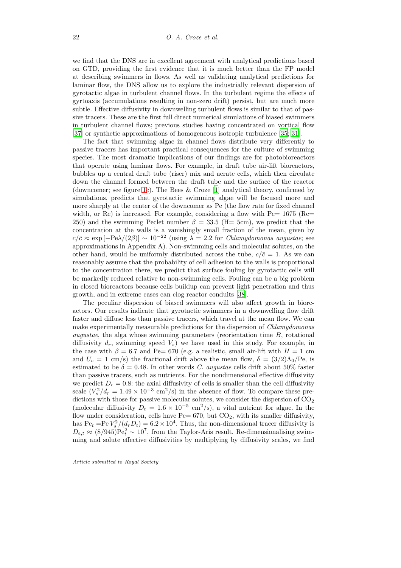we find that the DNS are in excellent agreement with analytical predictions based on GTD, providing the first evidence that it is much better than the FP model at describing swimmers in flows. As well as validating analytical predictions for laminar flow, the DNS allow us to explore the industrially relevant dispersion of gyrotactic algae in turbulent channel flows. In the turbulent regime the effects of gyrtoaxis (accumulations resulting in non-zero drift) persist, but are much more subtle. Effective diffusivity in downwelling turbulent flows is similar to that of passive tracers. These are the first full direct numerical simulations of biased swimmers in turbulent channel flows; previous studies having concentrated on vortical flow [\[37\]](#page-29-16) or synthetic approximations of homogeneous isotropic turbulence [\[35;](#page-29-14) [31\]](#page-29-10).

The fact that swimming algae in channel flows distribute very differently to passive tracers has important practical consequences for the culture of swimming species. The most dramatic implications of our findings are for photobioreactors that operate using laminar flows. For example, in draft tube air-lift bioreactors, bubbles up a central draft tube (riser) mix and aerate cells, which then circulate down the channel formed between the draft tube and the surface of the reactor (downcomer; see figure [1c](#page-2-0)). The Bees & Croze [\[1\]](#page-27-0) analytical theory, confirmed by simulations, predicts that gyrotactic swimming algae will be focused more and more sharply at the center of the downcomer as Pe (the flow rate for fixed channel width, or Re) is increased. For example, considering a flow with  $Pe=1675$  (Re= 250) and the swimming Peclet number  $\beta = 33.5$  (H= 5cm), we predict that the concentration at the walls is a vanishingly small fraction of the mean, given by  $c/\bar{c} \approx \exp[-\text{Pe}\lambda/(2\beta)] \sim 10^{-22}$  (using  $\lambda = 2.2$  for *Chlamydomonas augustae*; see approximations in Appendix A). Non-swimming cells and molecular solutes, on the other hand, would be uniformly distributed across the tube,  $c/\bar{c} = 1$ . As we can reasonably assume that the probability of cell adhesion to the walls is proportional to the concentration there, we predict that surface fouling by gyrotactic cells will be markedly reduced relative to non-swimming cells. Fouling can be a big problem in closed bioreactors because cells buildup can prevent light penetration and thus growth, and in extreme cases can clog reactor conduits [\[38](#page-30-0)].

The peculiar dispersion of biased swimmers will also affect growth in bioreactors. Our results indicate that gyrotactic swimmers in a downwelling flow drift faster and diffuse less than passive tracers, which travel at the mean flow. We can make experimentally measurable predictions for the dispersion of Chlamydomonas augustae, the alga whose swimming parameters (reorientation time B, rotational diffusivity  $d_r$ , swimming speed  $V_s$ ) we have used in this study. For example, in the case with  $\beta = 6.7$  and Pe= 670 (e.g. a realistic, small air-lift with  $H = 1$  cm and  $U_c = 1$  cm/s) the fractional drift above the mean flow,  $\delta = (3/2)\Lambda_0/\text{Pe}$ , is estimated to be  $\delta = 0.48$ . In other words C. augustae cells drift about 50% faster than passive tracers, such as nutrients. For the nondimensional effective diffusivity we predict  $D_e = 0.8$ : the axial diffusivity of cells is smaller than the cell diffusivity scale  $(V_s^2/d_r = 1.49 \times 10^{-3} \text{ cm}^2/\text{s})$  in the absence of flow. To compare these predictions with those for passive molecular solutes, we consider the dispersion of  $CO<sub>2</sub>$ (molecular diffusivity  $D_t = 1.6 \times 10^{-5}$  cm<sup>2</sup>/s), a vital nutrient for algae. In the flow under consideration, cells have  $Pe= 670$ , but  $CO<sub>2</sub>$ , with its smaller diffusivity, has  $Pe_t = Pe V_s^2/(d_r D_t) = 6.2 \times 10^4$ . Thus, the non-dimensional tracer diffusivity is  $D_{e,t} \approx (8/945) \text{Pe}_t^2 \sim 10^7$ , from the Taylor-Aris result. Re-dimensionalising swimming and solute effective diffusivities by multiplying by diffusivity scales, we find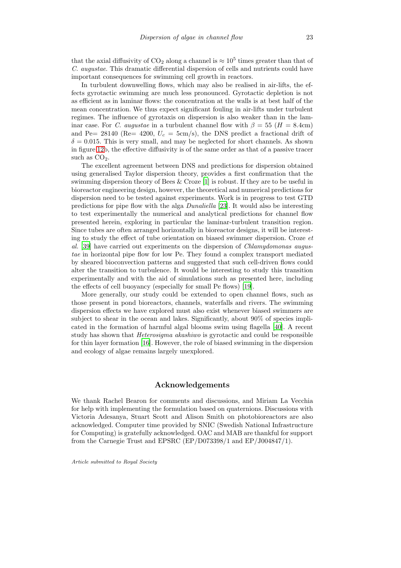that the axial diffusivity of  $CO_2$  along a channel is  $\approx 10^5$  times greater than that of C. augustae. This dramatic differential dispersion of cells and nutrients could have important consequences for swimming cell growth in reactors.

In turbulent downwelling flows, which may also be realised in air-lifts, the effects gyrotactic swimming are much less pronounced. Gyrotactic depletion is not as efficient as in laminar flows: the concentration at the walls is at best half of the mean concentration. We thus expect significant fouling in air-lifts under turbulent regimes. The influence of gyrotaxis on dispersion is also weaker than in the laminar case. For C. augustae in a turbulent channel flow with  $\beta = 55$  (H = 8.4cm) and Pe= 28140 (Re= 4200,  $U_c = 5 \text{cm/s}$ ), the DNS predict a fractional drift of  $\delta = 0.015$ . This is very small, and may be neglected for short channels. As shown in figure [12b](#page-19-0), the effective diffusivity is of the same order as that of a passive tracer such as  $CO<sub>2</sub>$ .

The excellent agreement between DNS and predictions for dispersion obtained using generalised Taylor dispersion theory, provides a first confirmation that the swimming dispersion theory of Bees & Croze [\[1](#page-27-0)] is robust. If they are to be useful in bioreactor engineering design, however, the theoretical and numerical predictions for dispersion need to be tested against experiments. Work is in progress to test GTD predictions for pipe flow with the alga Dunaliella [\[23](#page-29-2)]. It would also be interesting to test experimentally the numerical and analytical predictions for channel flow presented herein, exploring in particular the laminar-turbulent transition region. Since tubes are often arranged horizontally in bioreactor designs, it will be interesting to study the effect of tube orientation on biased swimmer dispersion. Croze et al. [\[39\]](#page-30-1) have carried out experiments on the dispersion of Chlamydomonas augustae in horizontal pipe flow for low Pe. They found a complex transport mediated by sheared bioconvection patterns and suggested that such cell-driven flows could alter the transition to turbulence. It would be interesting to study this transition experimentally and with the aid of simulations such as presented here, including the effects of cell buoyancy (especially for small Pe flows) [\[19](#page-28-15)].

More generally, our study could be extended to open channel flows, such as those present in pond bioreactors, channels, waterfalls and rivers. The swimming dispersion effects we have explored must also exist whenever biased swimmers are subject to shear in the ocean and lakes. Significantly, about 90% of species implicated in the formation of harmful algal blooms swim using flagella [\[40](#page-30-2)]. A recent study has shown that Heterosigma akashiwo is gyrotactic and could be responsible for thin layer formation [\[16\]](#page-28-12). However, the role of biased swimming in the dispersion and ecology of algae remains largely unexplored.

## Acknowledgements

We thank Rachel Bearon for comments and discussions, and Miriam La Vecchia for help with implementing the formulation based on quaternions. Discussions with Victoria Adesanya, Stuart Scott and Alison Smith on photobioreactors are also acknowledged. Computer time provided by SNIC (Swedish National Infrastructure for Computing) is gratefully acknowledged. OAC and MAB are thankful for support from the Carnegie Trust and EPSRC (EP/D073398/1 and EP/J004847/1).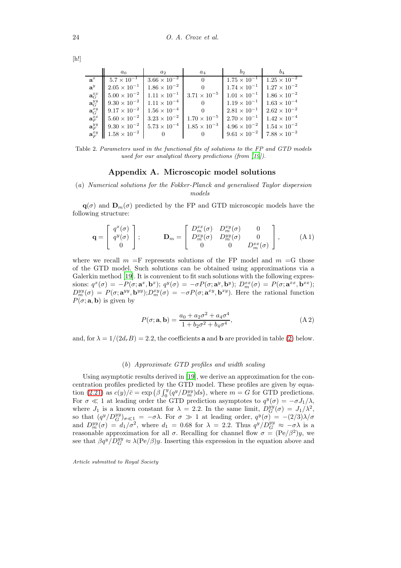|                                           | $a_0$                 | $a_2$                                       | $a_4$                 | $b_2$                 | $b_4$                 |
|-------------------------------------------|-----------------------|---------------------------------------------|-----------------------|-----------------------|-----------------------|
| $\mathbf{a}^x$                            | $5.7 \times 10^{-1}$  | $3.66 \times 10^{-2}$                       | $\Omega$              | $1.75 \times 10^{-1}$ | $1.25 \times 10^{-2}$ |
| $a^y$                                     | $2.05 \times 10^{-1}$ | $1.86 \times 10^{-2}$                       |                       | $1.74 \times 10^{-1}$ | $1.27 \times 10^{-2}$ |
| $\mathbf{a}_{G}^{xx}$                     | $5.00 \times 10^{-2}$ | $1.11 \times 10^{-1}$ $3.71 \times 10^{-5}$ |                       | $1.01 \times 10^{-1}$ | $1.86 \times 10^{-2}$ |
| $\mathbf{a}_{G}^{yy}$                     | $9.30 \times 10^{-2}$ | $1.11 \times 10^{-4}$                       |                       | $1.19 \times 10^{-1}$ | $1.63 \times 10^{-4}$ |
| $\mathbf{a}_{G}^{xy}$                     | $9.17 \times 10^{-2}$ | $1.56 \times 10^{-4}$                       |                       | $2.81 \times 10^{-1}$ | $2.62 \times 10^{-2}$ |
| $\mathbf{a}_F^{xx}$                       | $5.60 \times 10^{-2}$ | $3.23 \times 10^{-2}$                       | $1.70 \times 10^{-5}$ | $2.70 \times 10^{-1}$ | $1.42 \times 10^{-4}$ |
| $\mathbf{a}_{F}^{yy}$                     | $9.30 \times 10^{-2}$ | $5.73 \times 10^{-4}$                       | $1.85 \times 10^{-3}$ | $4.96 \times 10^{-2}$ | $1.54 \times 10^{-2}$ |
| $\mathbf{a}^{xy}_{\scriptscriptstyle{F}}$ | $1.58 \times 10^{-2}$ |                                             |                       | $9.61 \times 10^{-2}$ | $7.88 \times 10^{-2}$ |

Table 2. Parameters used in the functional fits of solutions to the FP and GTD models used for our analytical theory predictions (from [\[19](#page-28-15)]).

### <span id="page-23-0"></span>Appendix A. Microscopic model solutions

(a) Numerical solutions for the Fokker-Planck and generalised Taylor dispersion models

 $q(\sigma)$  and  $D_m(\sigma)$  predicted by the FP and GTD microscopic models have the following structure:

$$
\mathbf{q} = \begin{bmatrix} q^x(\sigma) \\ q^y(\sigma) \\ 0 \end{bmatrix}; \qquad \mathbf{D}_m = \begin{bmatrix} D_m^{xx}(\sigma) & D_m^{xy}(\sigma) & 0 \\ D_m^{xy}(\sigma) & D_m^{yy}(\sigma) & 0 \\ 0 & 0 & D_m^{xx}(\sigma) \end{bmatrix}, \qquad (A1)
$$

where we recall  $m =$ F represents solutions of the FP model and  $m =$ G those of the GTD model. Such solutions can be obtained using approximations via a Galerkin method [\[19\]](#page-28-15). It is convenient to fit such solutions with the following expressions:  $q^x(\sigma) = -P(\sigma; \mathbf{a}^x, \mathbf{b}^x);$   $q^y(\sigma) = -\sigma P(\sigma; \mathbf{a}^y, \mathbf{b}^y);$   $D_m^{xx}(\sigma) = P(\sigma; \mathbf{a}^{xx}, \mathbf{b}^{xx});$  $D_m^{yy}(\sigma) = P(\sigma; \mathbf{a}^{yy}, \mathbf{b}^{yy}); D_m^{xy}(\sigma) = -\sigma P(\sigma; \mathbf{a}^{xy}, \mathbf{b}^{xy}).$  Here the rational function  $P(\sigma; \mathbf{a}, \mathbf{b})$  is given by

$$
P(\sigma; \mathbf{a}, \mathbf{b}) = \frac{a_0 + a_2 \sigma^2 + a_4 \sigma^4}{1 + b_2 \sigma^2 + b_4 \sigma^4},
$$
 (A2)

and, for  $\lambda = 1/(2d_rB) = 2.2$ , the coefficients **a** and **b** are provided in table [\(2\)](#page-23-0) below.

#### (b) Approximate GTD profiles and width scaling

Using asymptotic results derived in [\[19\]](#page-28-15), we derive an approximation for the concentration profiles predicted by the GTD model. These profiles are given by equation  $(2.21)$  as  $c(y)/\bar{c} = \exp(\beta \int_0^y (q^y/D_m^{yy})ds)$ , where  $m = G$  for GTD predictions. For  $\sigma \ll 1$  at leading order the GTD prediction asymptotes to  $q^y(\sigma) = -\sigma J_1/\lambda$ , where  $J_1$  is a known constant for  $\lambda = 2.2$ . In the same limit,  $D_G^{yy}(\sigma) = J_1/\lambda^2$ , so that  $(q^y/D_G^{yy})_{\sigma \ll 1} = -\sigma \lambda$ . For  $\sigma \gg 1$  at leading order,  $q^y(\sigma) = -(2/3)\lambda/\sigma$ and  $D_m^{yy}(\sigma) = d_1/\sigma^2$ , where  $d_1 = 0.68$  for  $\lambda = 2.2$ . Thus  $q^y/D_G^{yy} \approx -\sigma\lambda$  is a reasonable approximation for all  $\sigma$ . Recalling for channel flow  $\sigma = (Pe/\beta^2)y$ , we see that  $\beta q^y/D_G^{yy} \approx \lambda(\text{Pe}/\beta)y$ . Inserting this expression in the equation above and

Article submitted to Royal Society

 $[h!]$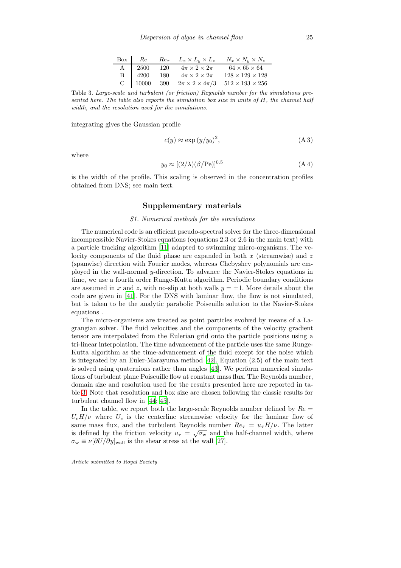|  |  | Box $\begin{array}{ c c c c c c } \hline \end{array} Re \qquad Re_{\tau} \qquad L_x \times L_y \times L_z \qquad N_x \times N_y \times N_z$                                                                                                                          |
|--|--|----------------------------------------------------------------------------------------------------------------------------------------------------------------------------------------------------------------------------------------------------------------------|
|  |  |                                                                                                                                                                                                                                                                      |
|  |  |                                                                                                                                                                                                                                                                      |
|  |  | $\begin{tabular}{c cccccc} A & 2500 & 120 & 4\pi \times 2 \times 2\pi & 64 \times 65 \times 64 \\ B & 4200 & 180 & 4\pi \times 2 \times 2\pi & 128 \times 129 \times 128 \\ C & 10000 & 390 & 2\pi \times 2 \times 4\pi/3 & 512 \times 193 \times 256 \end{tabular}$ |

<span id="page-24-0"></span>Table 3. Large-scale and turbulent (or friction) Reynolds number for the simulations presented here. The table also reports the simulation box size in units of  $H$ , the channel half width, and the resolution used for the simulations.

integrating gives the Gaussian profile

$$
c(y) \approx \exp\left(\frac{y}{y_0}\right)^2,\tag{A 3}
$$

where

$$
y_0 \approx [(2/\lambda)(\beta/\text{Pe})]^{0.5}
$$
 (A 4)

is the width of the profile. This scaling is observed in the concentration profiles obtained from DNS; see main text.

## Supplementary materials

#### S1. Numerical methods for the simulations

The numerical code is an efficient pseudo-spectral solver for the three-dimensional incompressible Navier-Stokes equations (equations 2.3 or 2.6 in the main text) with a particle tracking algorithm [\[11\]](#page-28-7) adapted to swimming micro-organisms. The velocity components of the fluid phase are expanded in both  $x$  (streamwise) and  $z$ (spanwise) direction with Fourier modes, whereas Chebyshev polynomials are employed in the wall-normal y-direction. To advance the Navier-Stokes equations in time, we use a fourth order Runge-Kutta algorithm. Periodic boundary conditions are assumed in x and z, with no-slip at both walls  $y = \pm 1$ . More details about the code are given in [\[41\]](#page-30-3). For the DNS with laminar flow, the flow is not simulated, but is taken to be the analytic parabolic Poiseuille solution to the Navier-Stokes equations .

The micro-organisms are treated as point particles evolved by means of a Lagrangian solver. The fluid velocities and the components of the velocity gradient tensor are interpolated from the Eulerian grid onto the particle positions using a tri-linear interpolation. The time advancement of the particle uses the same Runge-Kutta algorithm as the time-advancement of the fluid except for the noise which is integrated by an Euler-Marayuma method [\[42](#page-30-4)]. Equation (2.5) of the main text is solved using quaternions rather than angles [\[43](#page-30-5)]. We perform numerical simulations of turbulent plane Poiseuille flow at constant mass flux. The Reynolds number, domain size and resolution used for the results presented here are reported in table [3.](#page-24-0) Note that resolution and box size are chosen following the classic results for turbulent channel flow in [\[44](#page-30-6); [45](#page-30-7)].

In the table, we report both the large-scale Reynolds number defined by  $Re =$  $U_cH/\nu$  where  $U_c$  is the centerline streamwise velocity for the laminar flow of same mass flux, and the turbulent Reynolds number  $Re_\tau = u_\tau H/\nu$ . The latter is defined by the friction velocity  $u_{\tau} = \sqrt{\sigma_{\rm w}}$  and the half-channel width, where  $\sigma_{\rm w} \equiv \nu [\partial U/\partial y]_{\rm wall}$  is the shear stress at the wall [\[27\]](#page-29-6).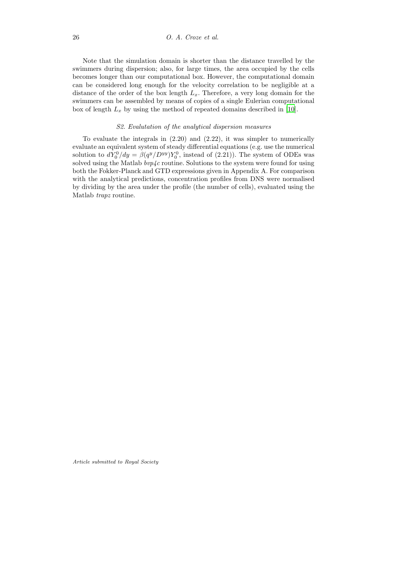Note that the simulation domain is shorter than the distance travelled by the swimmers during dispersion; also, for large times, the area occupied by the cells becomes longer than our computational box. However, the computational domain can be considered long enough for the velocity correlation to be negligible at a distance of the order of the box length  $L_x$ . Therefore, a very long domain for the swimmers can be assembled by means of copies of a single Eulerian computational box of length  $L_x$  by using the method of repeated domains described in [\[10\]](#page-28-6).

#### S2. Evalutation of the analytical dispersion measures

To evaluate the integrals in (2.20) and (2.22), it was simpler to numerically evaluate an equivalent system of steady differential equations (e.g. use the numerical solution to  $dY_0^0/dy = \beta(q^y/D^{yy})Y_0^0$ , instead of (2.21)). The system of ODEs was solved using the Matlab  $bvp4c$  routine. Solutions to the system were found for using both the Fokker-Planck and GTD expressions given in Appendix A. For comparison with the analytical predictions, concentration profiles from DNS were normalised by dividing by the area under the profile (the number of cells), evaluated using the Matlab trapz routine.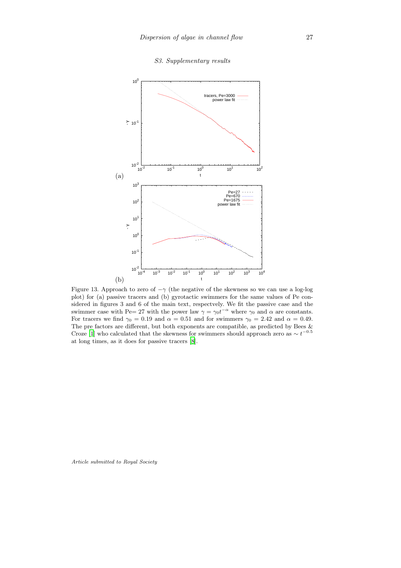#### S3. Supplementary results



Figure 13. Approach to zero of  $-\gamma$  (the negative of the skewness so we can use a log-log plot) for (a) passive tracers and (b) gyrotactic swimmers for the same values of Pe considered in figures 3 and 6 of the main text, respectvely. We fit the passive case and the swimmer case with Pe= 27 with the power law  $\gamma = \gamma_0 t^{-\alpha}$  where  $\gamma_0$  and  $\alpha$  are constants. For tracers we find  $\gamma_0 = 0.19$  and  $\alpha = 0.51$  and for swimmers  $\gamma_0 = 2.42$  and  $\alpha = 0.49$ . The pre factors are different, but both exponents are compatible, as predicted by Bees  $\&$ Croze [\[1\]](#page-27-0) who calculated that the skewness for swimmers should approach zero as  $\sim t^{-0.5}$ at long times, as it does for passive tracers [\[8](#page-28-4)].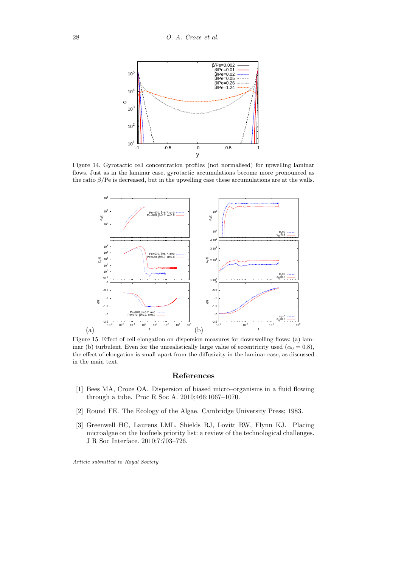

Figure 14. Gyrotactic cell concentration profiles (not normalised) for upwelling laminar flows. Just as in the laminar case, gyrotactic accumulations become more pronounced as the ratio  $\beta$ /Pe is decreased, but in the upwelling case these accumulations are at the walls.



Figure 15. Effect of cell elongation on dispersion measures for downwelling flows: (a) laminar (b) turbulent. Even for the unrealistically large value of eccentricity used  $(\alpha_0 = 0.8)$ , the effect of elongation is small apart from the diffusivity in the laminar case, as discussed in the main text.

## References

- <span id="page-27-0"></span>[1] Bees MA, Croze OA. Dispersion of biased micro–organisms in a fluid flowing through a tube. Proc R Soc A. 2010;466:1067–1070.
- <span id="page-27-1"></span>[2] Round FE. The Ecology of the Algae. Cambridge University Press; 1983.
- <span id="page-27-2"></span>[3] Greenwell HC, Laurens LML, Shields RJ, Lovitt RW, Flynn KJ. Placing microalgae on the biofuels priority list: a review of the technological challenges. J R Soc Interface. 2010;7:703–726.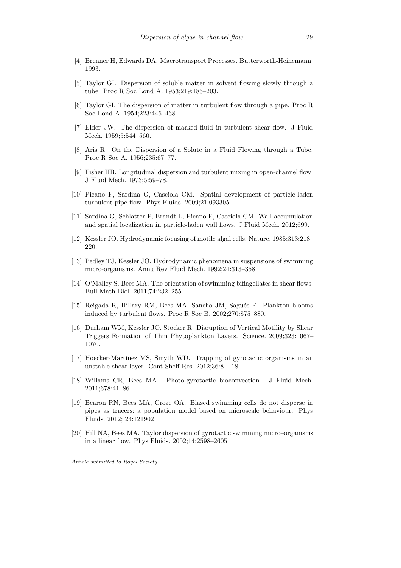- <span id="page-28-0"></span>[4] Brenner H, Edwards DA. Macrotransport Processes. Butterworth-Heinemann; 1993.
- <span id="page-28-1"></span>[5] Taylor GI. Dispersion of soluble matter in solvent flowing slowly through a tube. Proc R Soc Lond A. 1953;219:186–203.
- <span id="page-28-2"></span>[6] Taylor GI. The dispersion of matter in turbulent flow through a pipe. Proc R Soc Lond A. 1954;223:446–468.
- <span id="page-28-3"></span>[7] Elder JW. The dispersion of marked fluid in turbulent shear flow. J Fluid Mech. 1959;5:544–560.
- <span id="page-28-4"></span>[8] Aris R. On the Dispersion of a Solute in a Fluid Flowing through a Tube. Proc R Soc A. 1956;235:67–77.
- <span id="page-28-5"></span>[9] Fisher HB. Longitudinal dispersion and turbulent mixing in open-channel flow. J Fluid Mech. 1973;5:59–78.
- <span id="page-28-6"></span>[10] Picano F, Sardina G, Casciola CM. Spatial development of particle-laden turbulent pipe flow. Phys Fluids. 2009;21:093305.
- <span id="page-28-7"></span>[11] Sardina G, Schlatter P, Brandt L, Picano F, Casciola CM. Wall accumulation and spatial localization in particle-laden wall flows. J Fluid Mech. 2012;699.
- <span id="page-28-8"></span>[12] Kessler JO. Hydrodynamic focusing of motile algal cells. Nature. 1985;313:218– 220.
- <span id="page-28-9"></span>[13] Pedley TJ, Kessler JO. Hydrodynamic phenomena in suspensions of swimming micro-organisms. Annu Rev Fluid Mech. 1992;24:313–358.
- <span id="page-28-10"></span>[14] O'Malley S, Bees MA. The orientation of swimming biflagellates in shear flows. Bull Math Biol. 2011;74:232–255.
- <span id="page-28-11"></span>[15] Reigada R, Hillary RM, Bees MA, Sancho JM, Sagués F. Plankton blooms induced by turbulent flows. Proc R Soc B. 2002;270:875–880.
- <span id="page-28-12"></span>[16] Durham WM, Kessler JO, Stocker R. Disruption of Vertical Motility by Shear Triggers Formation of Thin Phytoplankton Layers. Science. 2009;323:1067– 1070.
- <span id="page-28-13"></span>[17] Hoecker-Martínez MS, Smyth WD. Trapping of gyrotactic organisms in an unstable shear layer. Cont Shelf Res. 2012;36:8 – 18.
- <span id="page-28-14"></span>[18] Willams CR, Bees MA. Photo-gyrotactic bioconvection. J Fluid Mech. 2011;678:41–86.
- <span id="page-28-15"></span>[19] Bearon RN, Bees MA, Croze OA. Biased swimming cells do not disperse in pipes as tracers: a population model based on microscale behaviour. Phys Fluids. 2012; 24:121902
- <span id="page-28-16"></span>[20] Hill NA, Bees MA. Taylor dispersion of gyrotactic swimming micro–organisms in a linear flow. Phys Fluids. 2002;14:2598–2605.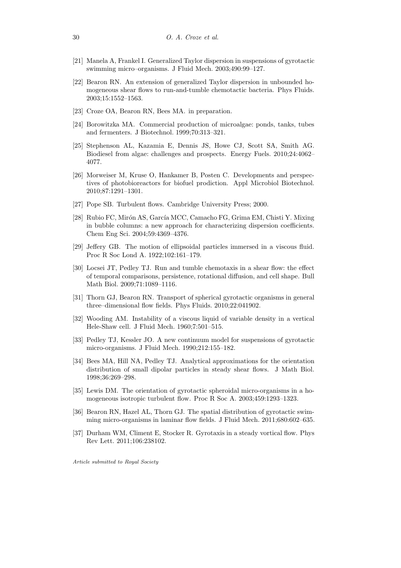- <span id="page-29-0"></span>[21] Manela A, Frankel I. Generalized Taylor dispersion in suspensions of gyrotactic swimming micro–organisms. J Fluid Mech. 2003;490:99–127.
- <span id="page-29-1"></span>[22] Bearon RN. An extension of generalized Taylor dispersion in unbounded homogeneous shear flows to run-and-tumble chemotactic bacteria. Phys Fluids. 2003;15:1552–1563.
- <span id="page-29-2"></span>[23] Croze OA, Bearon RN, Bees MA. in preparation.
- <span id="page-29-3"></span>[24] Borowitzka MA. Commercial production of microalgae: ponds, tanks, tubes and fermenters. J Biotechnol. 1999;70:313–321.
- <span id="page-29-4"></span>[25] Stephenson AL, Kazamia E, Dennis JS, Howe CJ, Scott SA, Smith AG. Biodiesel from algae: challenges and prospects. Energy Fuels. 2010;24:4062– 4077.
- <span id="page-29-5"></span>[26] Morweiser M, Kruse O, Hankamer B, Posten C. Developments and perspectives of photobioreactors for biofuel prodiction. Appl Microbiol Biotechnol. 2010;87:1291–1301.
- <span id="page-29-6"></span>[27] Pope SB. Turbulent flows. Cambridge University Press; 2000.
- <span id="page-29-7"></span>[28] Rubio FC, Mirón AS, García MCC, Camacho FG, Grima EM, Chisti Y. Mixing in bubble columns: a new approach for characterizing dispersion coefficients. Chem Eng Sci. 2004;59:4369–4376.
- <span id="page-29-8"></span>[29] Jeffery GB. The motion of ellipsoidal particles immersed in a viscous fluid. Proc R Soc Lond A. 1922;102:161–179.
- <span id="page-29-9"></span>[30] Locsei JT, Pedley TJ. Run and tumble chemotaxis in a shear flow: the effect of temporal comparisons, persistence, rotational diffusion, and cell shape. Bull Math Biol. 2009;71:1089–1116.
- <span id="page-29-10"></span>[31] Thorn GJ, Bearon RN. Transport of spherical gyrotactic organisms in general three–dimensional flow fields. Phys Fluids. 2010;22:041902.
- <span id="page-29-11"></span>[32] Wooding AM. Instability of a viscous liquid of variable density in a vertical Hele-Shaw cell. J Fluid Mech. 1960;7:501–515.
- <span id="page-29-12"></span>[33] Pedley TJ, Kessler JO. A new continuum model for suspensions of gyrotactic micro-organisms. J Fluid Mech. 1990;212:155–182.
- <span id="page-29-13"></span>[34] Bees MA, Hill NA, Pedley TJ. Analytical approximations for the orientation distribution of small dipolar particles in steady shear flows. J Math Biol. 1998;36:269–298.
- <span id="page-29-14"></span>[35] Lewis DM. The orientation of gyrotactic spheroidal micro-organisms in a homogeneous isotropic turbulent flow. Proc R Soc A. 2003;459:1293–1323.
- <span id="page-29-15"></span>[36] Bearon RN, Hazel AL, Thorn GJ. The spatial distribution of gyrotactic swimming micro-organisms in laminar flow fields. J Fluid Mech. 2011;680:602–635.
- <span id="page-29-16"></span>[37] Durham WM, Climent E, Stocker R. Gyrotaxis in a steady vortical flow. Phys Rev Lett. 2011;106:238102.